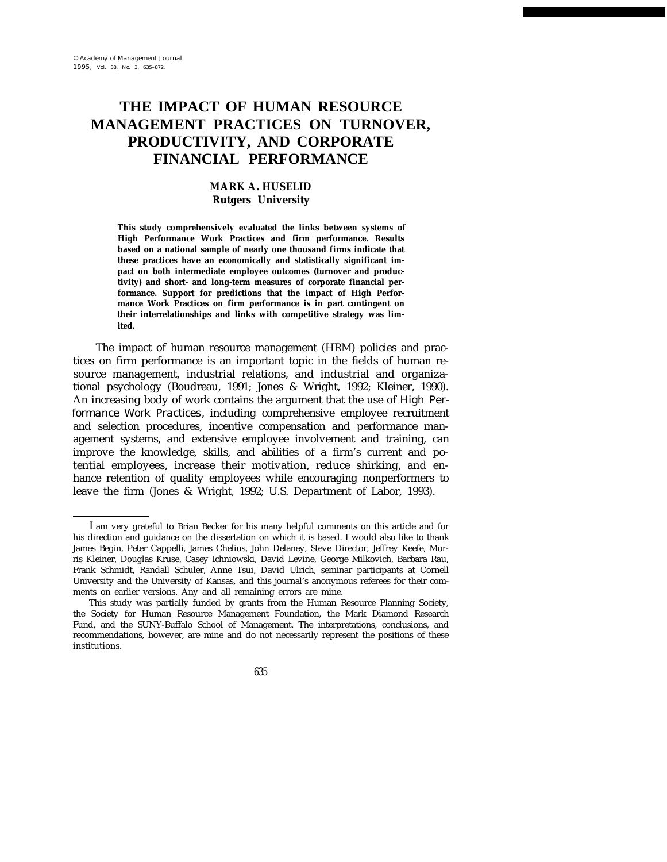# **THE IMPACT OF HUMAN RESOURCE MANAGEMENT PRACTICES ON TURNOVER, PRODUCTIVITY, AND CORPORATE FINANCIAL PERFORMANCE**

# **MARK A. HUSELID Rutgers University**

**This study comprehensively evaluated the links between systems of High Performance Work Practices and firm performance. Results based on a national sample of nearly one thousand firms indicate that these practices have an economically and statistically significant impact on both intermediate employee outcomes (turnover and productivity) and short- and long-term measures of corporate financial performance. Support for predictions that the impact of High Performance Work Practices on firm performance is in part contingent on their interrelationships and links with competitive strategy was limited.**

The impact of human resource management (HRM) policies and practices on firm performance is an important topic in the fields of human resource management, industrial relations, and industrial and organizational psychology (Boudreau, 1991; Jones & Wright, 1992; Kleiner, 1990). An increasing body of work contains the argument that the use of *High Performance Work Practices,* including comprehensive employee recruitment and selection procedures, incentive compensation and performance management systems, and extensive employee involvement and training, can improve the knowledge, skills, and abilities of a firm's current and potential employees, increase their motivation, reduce shirking, and enhance retention of quality employees while encouraging nonperformers to leave the firm (Jones & Wright, 1992; U.S. Department of Labor, 1993).

I am very grateful to Brian Becker for his many helpful comments on this article and for his direction and guidance on the dissertation on which it is based. I would also like to thank James Begin, Peter Cappelli, James Chelius, John Delaney, Steve Director, Jeffrey Keefe, Morris Kleiner, Douglas Kruse, Casey Ichniowski, David Levine, George Milkovich, Barbara Rau, Frank Schmidt, Randall Schuler, Anne Tsui, David Ulrich, seminar participants at Cornell University and the University of Kansas, and this journal's anonymous referees for their comments on earlier versions. Any and all remaining errors are mine.

This study was partially funded by grants from the Human Resource Planning Society, the Society for Human Resource Management Foundation, the Mark Diamond Research Fund, and the SUNY-Buffalo School of Management. The interpretations, conclusions, and recommendations, however, are mine and do not necessarily represent the positions of these institutions.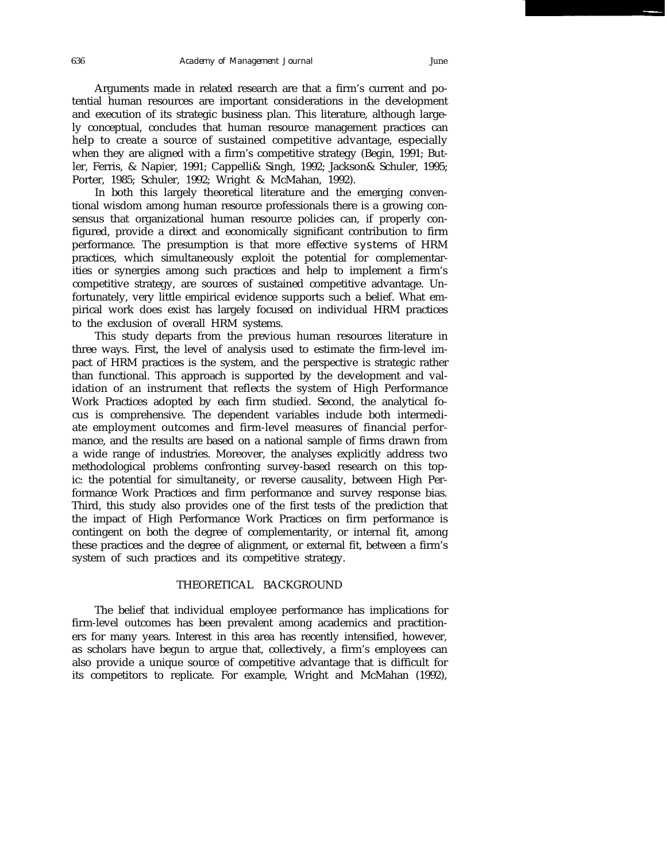Arguments made in related research are that a firm's current and potential human resources are important considerations in the development and execution of its strategic business plan. This literature, although largely conceptual, concludes that human resource management practices can help to create a source of sustained competitive advantage, especially when they are aligned with a firm's competitive strategy (Begin, 1991; Butler, Ferris, & Napier, 1991; Cappelli& Singh, 1992; Jackson& Schuler, 1995; Porter, 1985; Schuler, 1992; Wright & McMahan, 1992).

In both this largely theoretical literature and the emerging conventional wisdom among human resource professionals there is a growing consensus that organizational human resource policies can, if properly configured, provide a direct and economically significant contribution to firm performance. The presumption is that more effective *systems* of HRM practices, which simultaneously exploit the potential for complementarities or synergies among such practices and help to implement a firm's competitive strategy, are sources of sustained competitive advantage. Unfortunately, very little empirical evidence supports such a belief. What empirical work does exist has largely focused on individual HRM practices to the exclusion of overall HRM systems.

This study departs from the previous human resources literature in three ways. First, the level of analysis used to estimate the firm-level impact of HRM practices is the system, and the perspective is strategic rather than functional. This approach is supported by the development and validation of an instrument that reflects the system of High Performance Work Practices adopted by each firm studied. Second, the analytical focus is comprehensive. The dependent variables include both intermediate employment outcomes and firm-level measures of financial performance, and the results are based on a national sample of firms drawn from a wide range of industries. Moreover, the analyses explicitly address two methodological problems confronting survey-based research on this topic: the potential for simultaneity, or reverse causality, between High Performance Work Practices and firm performance and survey response bias. Third, this study also provides one of the first tests of the prediction that the impact of High Performance Work Practices on firm performance is contingent on both the degree of complementarity, or internal fit, among these practices and the degree of alignment, or external fit, between a firm's system of such practices and its competitive strategy.

#### THEORETICAL BACKGROUND

The belief that individual employee performance has implications for firm-level outcomes has been prevalent among academics and practitioners for many years. Interest in this area has recently intensified, however, as scholars have begun to argue that, collectively, a firm's employees can also provide a unique source of competitive advantage that is difficult for its competitors to replicate. For example, Wright and McMahan (1992),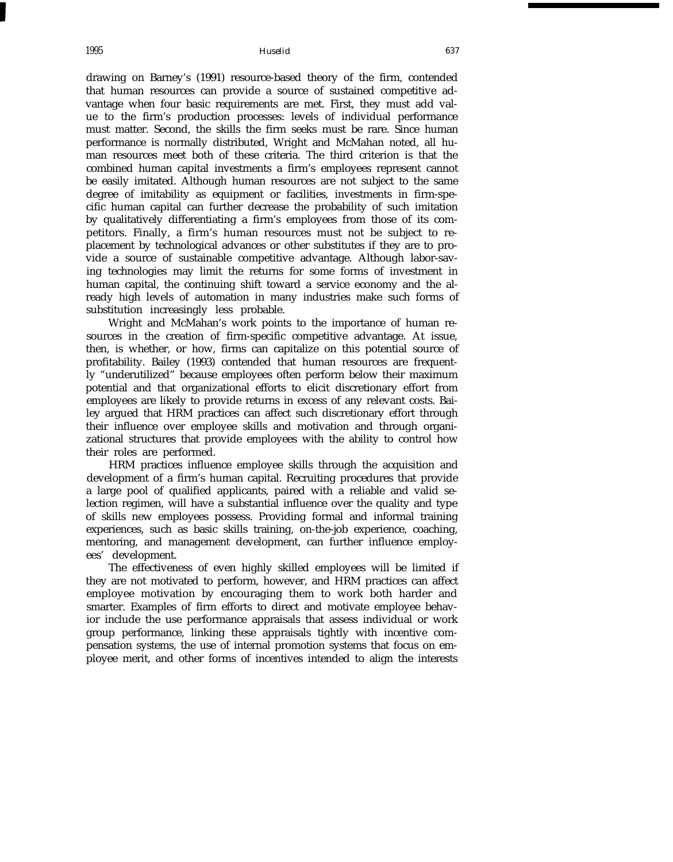#### 1995 *Huselid* 637

drawing on Barney's (1991) resource-based theory of the firm, contended that human resources can provide a source of sustained competitive advantage when four basic requirements are met. First, they must add value to the firm's production processes: levels of individual performance must matter. Second, the skills the firm seeks must be rare. Since human performance is normally distributed, Wright and McMahan noted, all human resources meet both of these criteria. The third criterion is that the combined human capital investments a firm's employees represent cannot be easily imitated. Although human resources are not subject to the same degree of imitability as equipment or facilities, investments in firm-specific human capital can further decrease the probability of such imitation by qualitatively differentiating a firm's employees from those of its competitors. Finally, a firm's human resources must not be subject to replacement by technological advances or other substitutes if they are to provide a source of sustainable competitive advantage. Although labor-saving technologies may limit the returns for some forms of investment in human capital, the continuing shift toward a service economy and the already high levels of automation in many industries make such forms of substitution increasingly less probable.

Wright and McMahan's work points to the importance of human resources in the creation of firm-specific competitive advantage. At issue, then, is whether, or how, firms can capitalize on this potential source of profitability. Bailey (1993) contended that human resources are frequently "underutilized" because employees often perform below their maximum potential and that organizational efforts to elicit discretionary effort from employees are likely to provide returns in excess of any relevant costs. Bailey argued that HRM practices can affect such discretionary effort through their influence over employee skills and motivation and through organizational structures that provide employees with the ability to control how their roles are performed.

HRM practices influence employee skills through the acquisition and development of a firm's human capital. Recruiting procedures that provide a large pool of qualified applicants, paired with a reliable and valid selection regimen, will have a substantial influence over the quality and type of skills new employees possess. Providing formal and informal training experiences, such as basic skills training, on-the-job experience, coaching, mentoring, and management development, can further influence employees' development.

The effectiveness of even highly skilled employees will be limited if they are not motivated to perform, however, and HRM practices can affect employee motivation by encouraging them to work both harder and smarter. Examples of firm efforts to direct and motivate employee behavior include the use performance appraisals that assess individual or work group performance, linking these appraisals tightly with incentive compensation systems, the use of internal promotion systems that focus on employee merit, and other forms of incentives intended to align the interests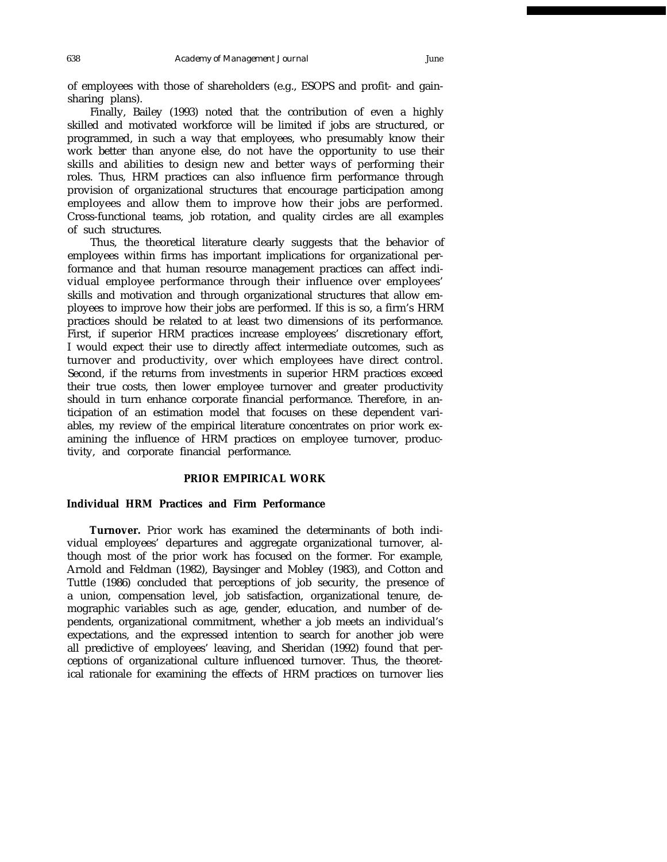of employees with those of shareholders (e.g., ESOPS and profit- and gainsharing plans).

Finally, Bailey (1993) noted that the contribution of even a highly skilled and motivated workforce will be limited if jobs are structured, or programmed, in such a way that employees, who presumably know their work better than anyone else, do not have the opportunity to use their skills and abilities to design new and better ways of performing their roles. Thus, HRM practices can also influence firm performance through provision of organizational structures that encourage participation among employees and allow them to improve how their jobs are performed. Cross-functional teams, job rotation, and quality circles are all examples of such structures.

Thus, the theoretical literature clearly suggests that the behavior of employees within firms has important implications for organizational performance and that human resource management practices can affect individual employee performance through their influence over employees' skills and motivation and through organizational structures that allow employees to improve how their jobs are performed. If this is so, a firm's HRM practices should be related to at least two dimensions of its performance. First, if superior HRM practices increase employees' discretionary effort, I would expect their use to directly affect intermediate outcomes, such as turnover and productivity, over which employees have direct control. Second, if the returns from investments in superior HRM practices exceed their true costs, then lower employee turnover and greater productivity should in turn enhance corporate financial performance. Therefore, in anticipation of an estimation model that focuses on these dependent variables, my review of the empirical literature concentrates on prior work examining the influence of HRM practices on employee turnover, productivity, and corporate financial performance.

#### **PRIOR EMPIRICAL WORK**

#### **Individual HRM Practices and Firm Performance**

**Turnover.** Prior work has examined the determinants of both individual employees' departures and aggregate organizational turnover, although most of the prior work has focused on the former. For example, Arnold and Feldman (1982), Baysinger and Mobley (1983), and Cotton and Tuttle (1986) concluded that perceptions of job security, the presence of a union, compensation level, job satisfaction, organizational tenure, demographic variables such as age, gender, education, and number of dependents, organizational commitment, whether a job meets an individual's expectations, and the expressed intention to search for another job were all predictive of employees' leaving, and Sheridan (1992) found that perceptions of organizational culture influenced turnover. Thus, the theoretical rationale for examining the effects of HRM practices on turnover lies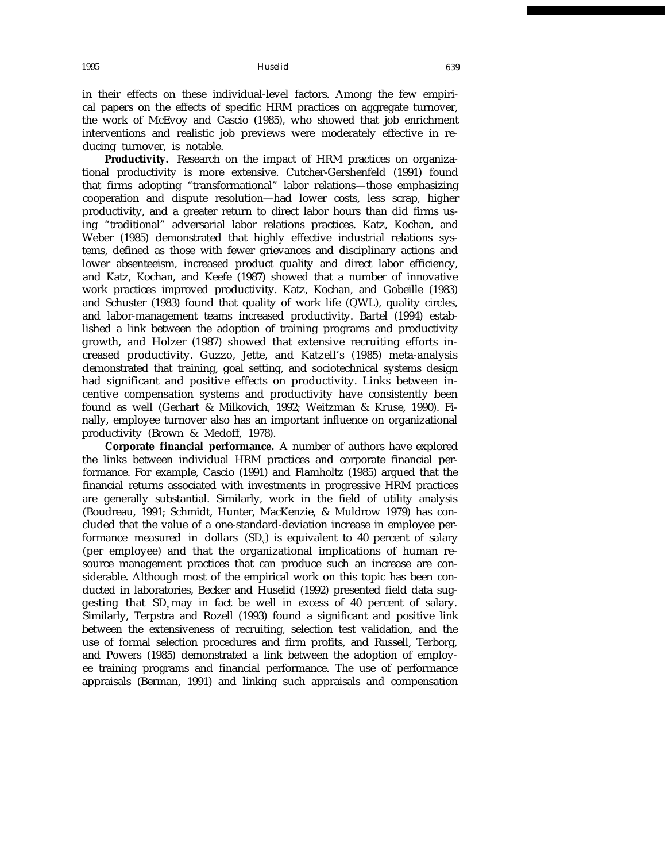in their effects on these individual-level factors. Among the few empirical papers on the effects of specific HRM practices on aggregate turnover, the work of McEvoy and Cascio (1985), who showed that job enrichment interventions and realistic job previews were moderately effective in reducing turnover, is notable.

**Productivity.** Research on the impact of HRM practices on organizational productivity is more extensive. Cutcher-Gershenfeld (1991) found that firms adopting "transformational" labor relations—those emphasizing cooperation and dispute resolution—had lower costs, less scrap, higher productivity, and a greater return to direct labor hours than did firms using "traditional" adversarial labor relations practices. Katz, Kochan, and Weber (1985) demonstrated that highly effective industrial relations systems, defined as those with fewer grievances and disciplinary actions and lower absenteeism, increased product quality and direct labor efficiency, and Katz, Kochan, and Keefe (1987) showed that a number of innovative work practices improved productivity. Katz, Kochan, and Gobeille (1983) and Schuster (1983) found that quality of work life (QWL), quality circles, and labor-management teams increased productivity. Bartel (1994) established a link between the adoption of training programs and productivity growth, and Holzer (1987) showed that extensive recruiting efforts increased productivity. Guzzo, Jette, and Katzell's (1985) meta-analysis demonstrated that training, goal setting, and sociotechnical systems design had significant and positive effects on productivity. Links between incentive compensation systems and productivity have consistently been found as well (Gerhart & Milkovich, 1992; Weitzman & Kruse, 1990). Finally, employee turnover also has an important influence on organizational productivity (Brown & Medoff, 1978).

**Corporate financial performance.** A number of authors have explored the links between individual HRM practices and corporate financial performance. For example, Cascio (1991) and Flamholtz (1985) argued that the financial returns associated with investments in progressive HRM practices are generally substantial. Similarly, work in the field of utility analysis (Boudreau, 1991; Schmidt, Hunter, MacKenzie, & Muldrow 1979) has concluded that the value of a one-standard-deviation increase in employee performance measured in dollars  $\left(\text{SD}_y\right)$  is equivalent to 40 percent of salary (per employee) and that the organizational implications of human resource management practices that can produce such an increase are considerable. Although most of the empirical work on this topic has been conducted in laboratories, Becker and Huselid (1992) presented field data suggesting that SD may in fact be well in excess of 40 percent of salary. Similarly, Terpstra and Rozell (1993) found a significant and positive link between the extensiveness of recruiting, selection test validation, and the use of formal selection procedures and firm profits, and Russell, Terborg, and Powers (1985) demonstrated a link between the adoption of employee training programs and financial performance. The use of performance appraisals (Berman, 1991) and linking such appraisals and compensation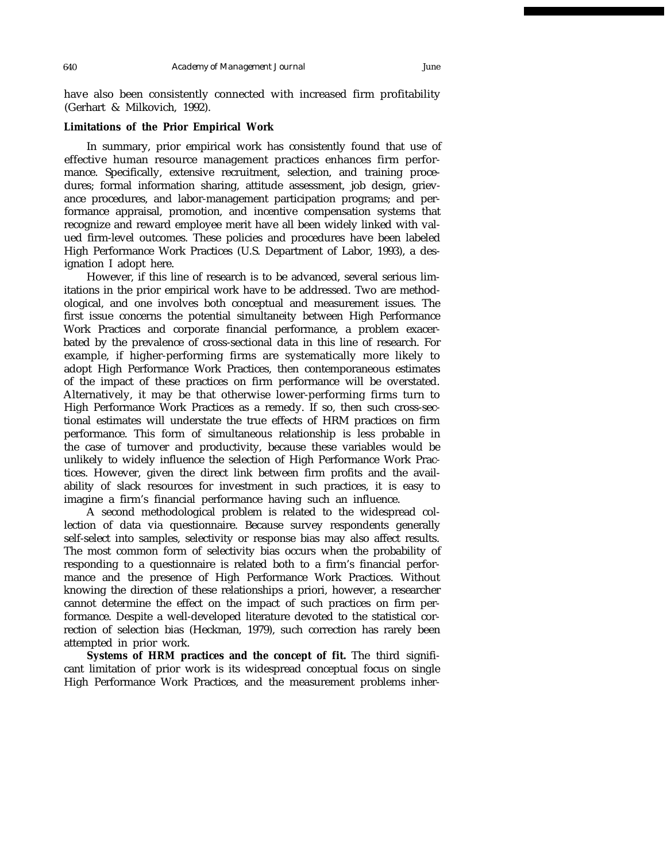have also been consistently connected with increased firm profitability (Gerhart & Milkovich, 1992).

#### **Limitations of the Prior Empirical Work**

In summary, prior empirical work has consistently found that use of effective human resource management practices enhances firm performance. Specifically, extensive recruitment, selection, and training procedures; formal information sharing, attitude assessment, job design, grievance procedures, and labor-management participation programs; and performance appraisal, promotion, and incentive compensation systems that recognize and reward employee merit have all been widely linked with valued firm-level outcomes. These policies and procedures have been labeled High Performance Work Practices (U.S. Department of Labor, 1993), a designation I adopt here.

However, if this line of research is to be advanced, several serious limitations in the prior empirical work have to be addressed. Two are methodological, and one involves both conceptual and measurement issues. The first issue concerns the potential simultaneity between High Performance Work Practices and corporate financial performance, a problem exacerbated by the prevalence of cross-sectional data in this line of research. For example, if higher-performing firms are systematically more likely to adopt High Performance Work Practices, then contemporaneous estimates of the impact of these practices on firm performance will be overstated. Alternatively, it may be that otherwise lower-performing firms turn to High Performance Work Practices as a remedy. If so, then such cross-sectional estimates will understate the true effects of HRM practices on firm performance. This form of simultaneous relationship is less probable in the case of turnover and productivity, because these variables would be unlikely to widely influence the selection of High Performance Work Practices. However, given the direct link between firm profits and the availability of slack resources for investment in such practices, it is easy to imagine a firm's financial performance having such an influence.

A second methodological problem is related to the widespread collection of data via questionnaire. Because survey respondents generally self-select into samples, selectivity or response bias may also affect results. The most common form of selectivity bias occurs when the probability of responding to a questionnaire is related both to a firm's financial performance and the presence of High Performance Work Practices. Without knowing the direction of these relationships a priori, however, a researcher cannot determine the effect on the impact of such practices on firm performance. Despite a well-developed literature devoted to the statistical correction of selection bias (Heckman, 1979), such correction has rarely been attempted in prior work.

**Systems of HRM practices and the concept of fit.** The third significant limitation of prior work is its widespread conceptual focus on single High Performance Work Practices, and the measurement problems inher-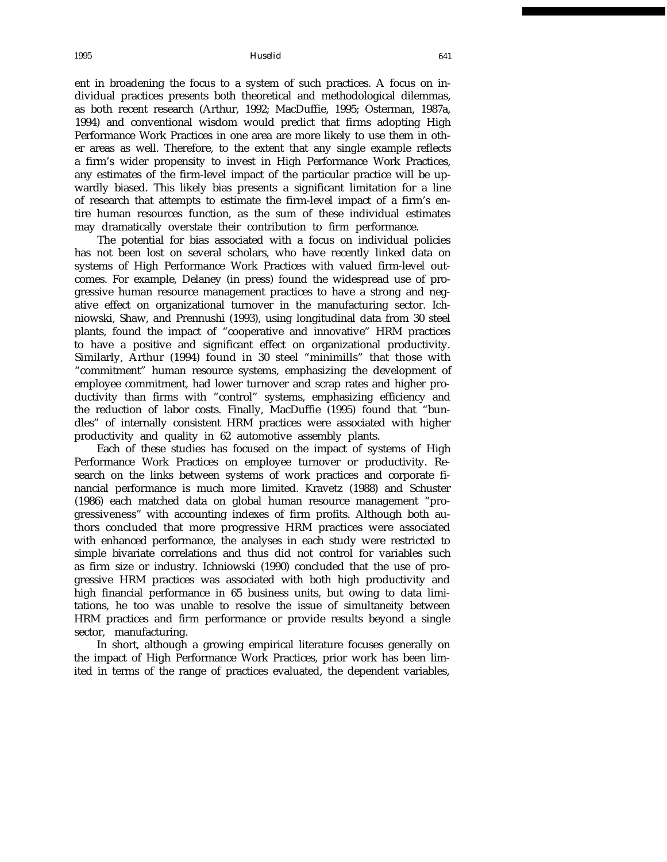#### 1995 *Huselid* 641

ent in broadening the focus to a system of such practices. A focus on individual practices presents both theoretical and methodological dilemmas, as both recent research (Arthur, 1992; MacDuffie, 1995; Osterman, 1987a, 1994) and conventional wisdom would predict that firms adopting High Performance Work Practices in one area are more likely to use them in other areas as well. Therefore, to the extent that any single example reflects a firm's wider propensity to invest in High Performance Work Practices, any estimates of the firm-level impact of the particular practice will be upwardly biased. This likely bias presents a significant limitation for a line of research that attempts to estimate the firm-level impact of a firm's entire human resources function, as the sum of these individual estimates may dramatically overstate their contribution to firm performance.

The potential for bias associated with a focus on individual policies has not been lost on several scholars, who have recently linked data on systems of High Performance Work Practices with valued firm-level outcomes. For example, Delaney (in press) found the widespread use of progressive human resource management practices to have a strong and negative effect on organizational turnover in the manufacturing sector. Ichniowski, Shaw, and Prennushi (1993), using longitudinal data from 30 steel plants, found the impact of "cooperative and innovative" HRM practices to have a positive and significant effect on organizational productivity. Similarly, Arthur (1994) found in 30 steel "minimills" that those with "commitment" human resource systems, emphasizing the development of employee commitment, had lower turnover and scrap rates and higher productivity than firms with "control" systems, emphasizing efficiency and the reduction of labor costs. Finally, MacDuffie (1995) found that "bundles" of internally consistent HRM practices were associated with higher productivity and quality in 62 automotive assembly plants.

Each of these studies has focused on the impact of systems of High Performance Work Practices on employee turnover or productivity. Research on the links between systems of work practices and corporate financial performance is much more limited. Kravetz (1988) and Schuster (1986) each matched data on global human resource management "progressiveness" with accounting indexes of firm profits. Although both authors concluded that more progressive HRM practices were associated with enhanced performance, the analyses in each study were restricted to simple bivariate correlations and thus did not control for variables such as firm size or industry. Ichniowski (1990) concluded that the use of progressive HRM practices was associated with both high productivity and high financial performance in 65 business units, but owing to data limitations, he too was unable to resolve the issue of simultaneity between HRM practices and firm performance or provide results beyond a single sector, manufacturing.

In short, although a growing empirical literature focuses generally on the impact of High Performance Work Practices, prior work has been limited in terms of the range of practices evaluated, the dependent variables,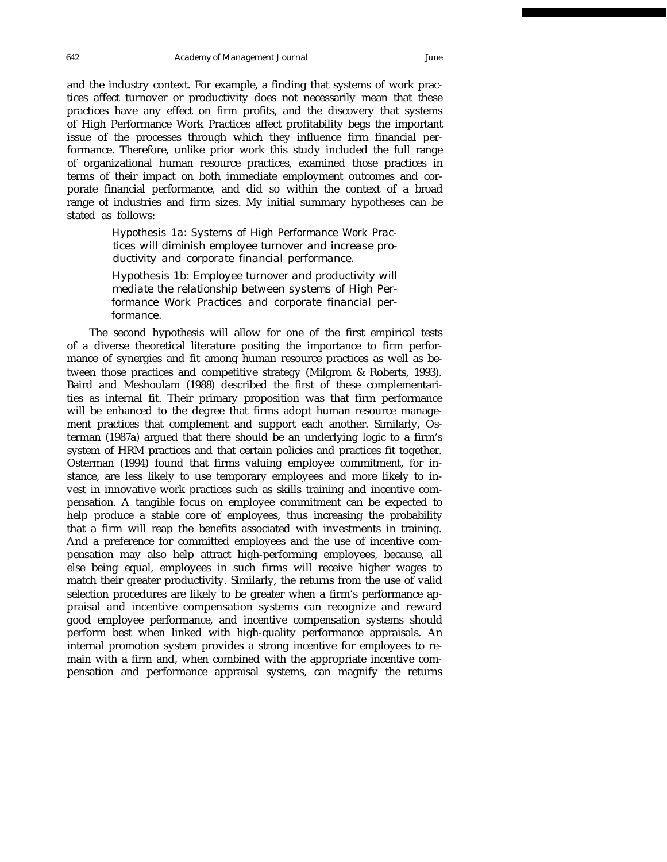and the industry context. For example, a finding that systems of work practices affect turnover or productivity does not necessarily mean that these practices have any effect on firm profits, and the discovery that systems of High Performance Work Practices affect profitability begs the important issue of the processes through which they influence firm financial performance. Therefore, unlike prior work this study included the full range of organizational human resource practices, examined those practices in terms of their impact on both immediate employment outcomes and corporate financial performance, and did so within the context of a broad range of industries and firm sizes. My initial summary hypotheses can be stated as follows:

> *Hypothesis 1a: Systems of High Performance Work Practices will diminish employee turnover and increase productivity and corporate financial performance.*

> *Hypothesis 1b: Employee turnover and productivity will mediate the relationship between systems of High Performance Work Practices and corporate financial performance.*

The second hypothesis will allow for one of the first empirical tests of a diverse theoretical literature positing the importance to firm performance of synergies and fit among human resource practices as well as between those practices and competitive strategy (Milgrom & Roberts, 1993). Baird and Meshoulam (1988) described the first of these complementarities as internal fit. Their primary proposition was that firm performance will be enhanced to the degree that firms adopt human resource management practices that complement and support each another. Similarly, Osterman (1987a) argued that there should be an underlying logic to a firm's system of HRM practices and that certain policies and practices fit together. Osterman (1994) found that firms valuing employee commitment, for instance, are less likely to use temporary employees and more likely to invest in innovative work practices such as skills training and incentive compensation. A tangible focus on employee commitment can be expected to help produce a stable core of employees, thus increasing the probability that a firm will reap the benefits associated with investments in training. And a preference for committed employees and the use of incentive compensation may also help attract high-performing employees, because, all else being equal, employees in such firms will receive higher wages to match their greater productivity. Similarly, the returns from the use of valid selection procedures are likely to be greater when a firm's performance appraisal and incentive compensation systems can recognize and reward good employee performance, and incentive compensation systems should perform best when linked with high-quality performance appraisals. An internal promotion system provides a strong incentive for employees to remain with a firm and, when combined with the appropriate incentive compensation and performance appraisal systems, can magnify the returns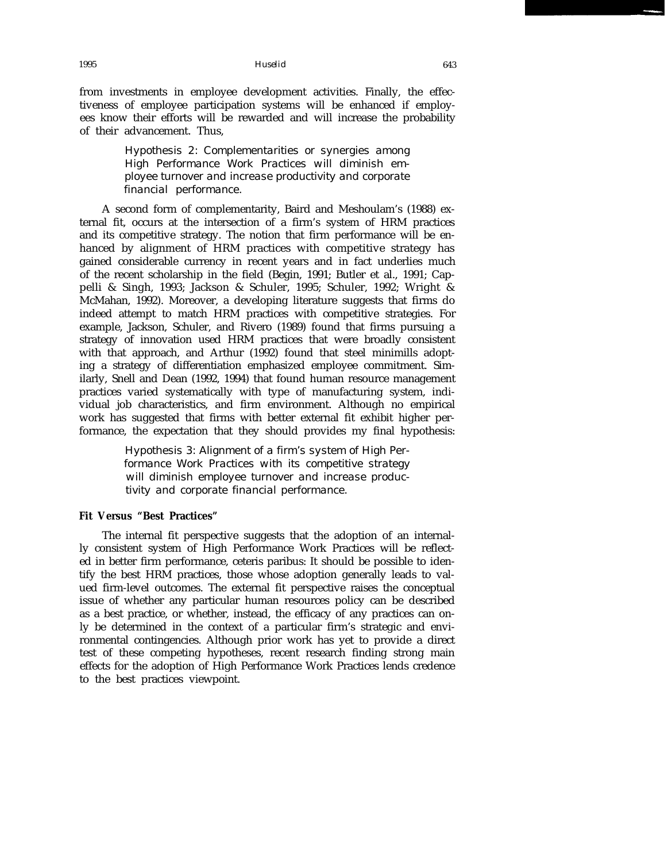#### 1995 *Huselid* 643

from investments in employee development activities. Finally, the effectiveness of employee participation systems will be enhanced if employees know their efforts will be rewarded and will increase the probability of their advancement. Thus,

> *Hypothesis 2: Complementarities or synergies among High Performance Work Practices will diminish employee turnover and increase productivity and corporate financial performance.*

A second form of complementarity, Baird and Meshoulam's (1988) external fit, occurs at the intersection of a firm's system of HRM practices and its competitive strategy. The notion that firm performance will be enhanced by alignment of HRM practices with competitive strategy has gained considerable currency in recent years and in fact underlies much of the recent scholarship in the field (Begin, 1991; Butler et al., 1991; Cappelli & Singh, 1993; Jackson & Schuler, 1995; Schuler, 1992; Wright & McMahan, 1992). Moreover, a developing literature suggests that firms do indeed attempt to match HRM practices with competitive strategies. For example, Jackson, Schuler, and Rivero (1989) found that firms pursuing a strategy of innovation used HRM practices that were broadly consistent with that approach, and Arthur (1992) found that steel minimills adopting a strategy of differentiation emphasized employee commitment. Similarly, Snell and Dean (1992, 1994) that found human resource management practices varied systematically with type of manufacturing system, individual job characteristics, and firm environment. Although no empirical work has suggested that firms with better external fit exhibit higher performance, the expectation that they should provides my final hypothesis:

> *Hypothesis 3: Alignment of a firm's system of High Performance Work Practices with its competitive strategy will diminish employee turnover and increase productivity and corporate financial performance.*

#### **Fit Versus "Best Practices"**

The internal fit perspective suggests that the adoption of an internally consistent system of High Performance Work Practices will be reflected in better firm performance, ceteris paribus: It should be possible to identify the best HRM practices, those whose adoption generally leads to valued firm-level outcomes. The external fit perspective raises the conceptual issue of whether any particular human resources policy can be described as a best practice, or whether, instead, the efficacy of any practices can only be determined in the context of a particular firm's strategic and environmental contingencies. Although prior work has yet to provide a direct test of these competing hypotheses, recent research finding strong main effects for the adoption of High Performance Work Practices lends credence to the best practices viewpoint.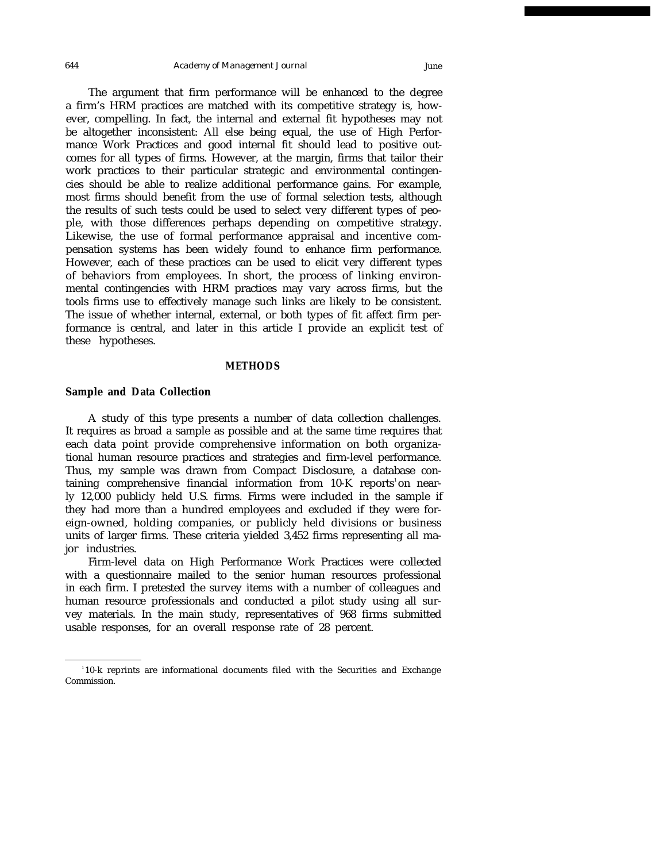The argument that firm performance will be enhanced to the degree a firm's HRM practices are matched with its competitive strategy is, however, compelling. In fact, the internal and external fit hypotheses may not be altogether inconsistent: All else being equal, the use of High Performance Work Practices and good internal fit should lead to positive outcomes for all types of firms. However, at the margin, firms that tailor their work practices to their particular strategic and environmental contingencies should be able to realize additional performance gains. For example, most firms should benefit from the use of formal selection tests, although the results of such tests could be used to select very different types of people, with those differences perhaps depending on competitive strategy. Likewise, the use of formal performance appraisal and incentive compensation systems has been widely found to enhance firm performance. However, each of these practices can be used to elicit very different types of behaviors from employees. In short, the process of linking environmental contingencies with HRM practices may vary across firms, but the tools firms use to effectively manage such links are likely to be consistent. The issue of whether internal, external, or both types of fit affect firm performance is central, and later in this article I provide an explicit test of these hypotheses.

## **METHODS**

#### **Sample and Data Collection**

A study of this type presents a number of data collection challenges. It requires as broad a sample as possible and at the same time requires that each data point provide comprehensive information on both organizational human resource practices and strategies and firm-level performance. Thus, my sample was drawn from Compact Disclosure, a database containing comprehensive financial information from 10-K reports<sup>1</sup> on nearly 12,000 publicly held U.S. firms. Firms were included in the sample if they had more than a hundred employees and excluded if they were foreign-owned, holding companies, or publicly held divisions or business units of larger firms. These criteria yielded 3,452 firms representing all major industries.

Firm-level data on High Performance Work Practices were collected with a questionnaire mailed to the senior human resources professional in each firm. I pretested the survey items with a number of colleagues and human resource professionals and conducted a pilot study using all survey materials. In the main study, representatives of 968 firms submitted usable responses, for an overall response rate of 28 percent.

<sup>1</sup>10-k reprints are informational documents filed with the Securities and Exchange Commission.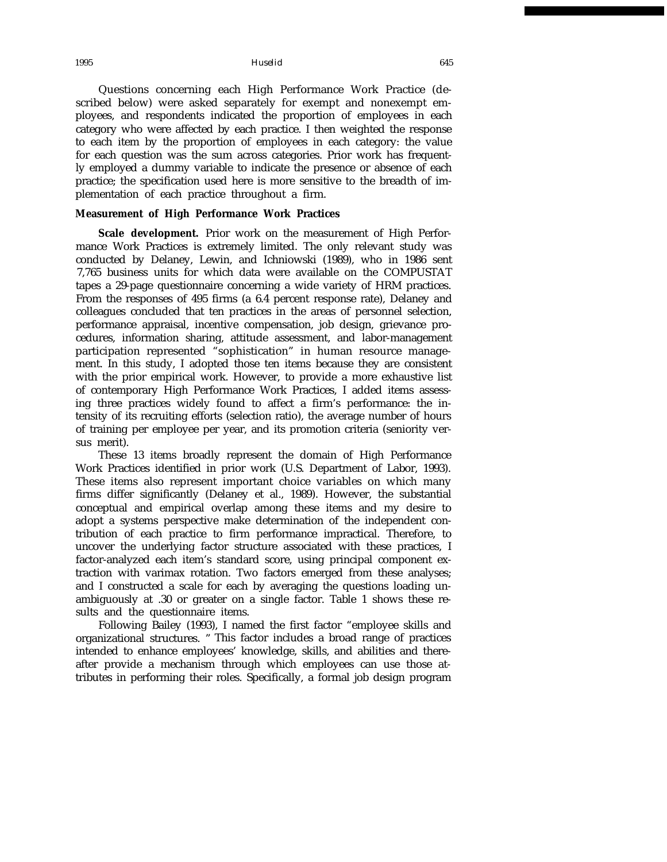1995 *Huselid* 645

Questions concerning each High Performance Work Practice (described below) were asked separately for exempt and nonexempt employees, and respondents indicated the proportion of employees in each category who were affected by each practice. I then weighted the response to each item by the proportion of employees in each category: the value for each question was the sum across categories. Prior work has frequently employed a dummy variable to indicate the presence or absence of each practice; the specification used here is more sensitive to the breadth of implementation of each practice throughout a firm.

## **Measurement of High Performance Work Practices**

**Scale development.** Prior work on the measurement of High Performance Work Practices is extremely limited. The only relevant study was conducted by Delaney, Lewin, and Ichniowski (1989), who in 1986 sent 7,765 business units for which data were available on the COMPUSTAT tapes a 29-page questionnaire concerning a wide variety of HRM practices. From the responses of 495 firms (a 6.4 percent response rate), Delaney and colleagues concluded that ten practices in the areas of personnel selection, performance appraisal, incentive compensation, job design, grievance procedures, information sharing, attitude assessment, and labor-management participation represented "sophistication" in human resource management. In this study, I adopted those ten items because they are consistent with the prior empirical work. However, to provide a more exhaustive list of contemporary High Performance Work Practices, I added items assessing three practices widely found to affect a firm's performance: the intensity of its recruiting efforts (selection ratio), the average number of hours of training per employee per year, and its promotion criteria (seniority versus merit).

These 13 items broadly represent the domain of High Performance Work Practices identified in prior work (U.S. Department of Labor, 1993). These items also represent important choice variables on which many firms differ significantly (Delaney et al., 1989). However, the substantial conceptual and empirical overlap among these items and my desire to adopt a systems perspective make determination of the independent contribution of each practice to firm performance impractical. Therefore, to uncover the underlying factor structure associated with these practices, I factor-analyzed each item's standard score, using principal component extraction with varimax rotation. Two factors emerged from these analyses; and I constructed a scale for each by averaging the questions loading unambiguously at .30 or greater on a single factor. Table 1 shows these results and the questionnaire items.

Following Bailey (1993), I named the first factor "employee skills and organizational structures. " This factor includes a broad range of practices intended to enhance employees' knowledge, skills, and abilities and thereafter provide a mechanism through which employees can use those attributes in performing their roles. Specifically, a formal job design program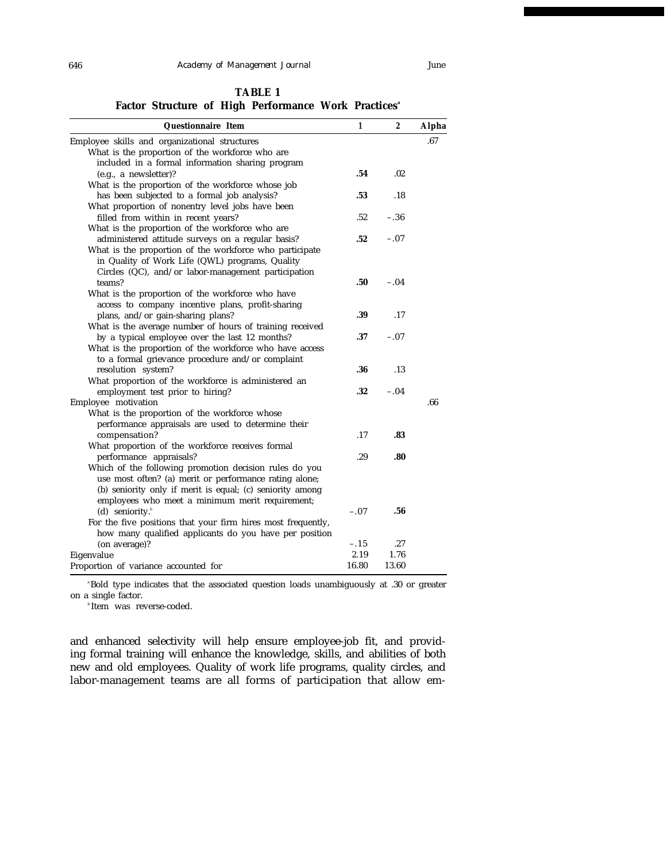|  |  | <b>TABLE 1</b>                                                   |  |
|--|--|------------------------------------------------------------------|--|
|  |  | Factor Structure of High Performance Work Practices <sup>®</sup> |  |

| Questionnaire Item                                           | 1      | $\boldsymbol{2}$ | Alpha |
|--------------------------------------------------------------|--------|------------------|-------|
| Employee skills and organizational structures                |        |                  | .67   |
| What is the proportion of the workforce who are              |        |                  |       |
| included in a formal information sharing program             |        |                  |       |
| (e.g., a newsletter)?                                        | .54    | .02              |       |
| What is the proportion of the workforce whose job            |        |                  |       |
| has been subjected to a formal job analysis?                 | .53    | .18              |       |
| What proportion of nonentry level jobs have been             |        |                  |       |
| filled from within in recent years?                          | .52    | $-.36$           |       |
| What is the proportion of the workforce who are              |        |                  |       |
| administered attitude surveys on a regular basis?            | .52    | $-.07$           |       |
| What is the proportion of the workforce who participate      |        |                  |       |
| in Quality of Work Life (QWL) programs, Quality              |        |                  |       |
| Circles (QC), and/or labor-management participation          |        |                  |       |
| teams?                                                       | .50    | $-.04$           |       |
| What is the proportion of the workforce who have             |        |                  |       |
| access to company incentive plans, profit-sharing            |        |                  |       |
| plans, and/or gain-sharing plans?                            | .39    | .17              |       |
| What is the average number of hours of training received     |        |                  |       |
| by a typical employee over the last 12 months?               | .37    | $-.07$           |       |
| What is the proportion of the workforce who have access      |        |                  |       |
| to a formal grievance procedure and/or complaint             |        |                  |       |
| resolution system?                                           | .36    | .13              |       |
| What proportion of the workforce is administered an          |        |                  |       |
| employment test prior to hiring?                             | .32    | $-.04$           |       |
| Employee motivation                                          |        |                  | .66   |
| What is the proportion of the workforce whose                |        |                  |       |
| performance appraisals are used to determine their           |        |                  |       |
| compensation?                                                | .17    | .83              |       |
| What proportion of the workforce receives formal             |        |                  |       |
| performance appraisals?                                      | .29    | .80              |       |
| Which of the following promotion decision rules do you       |        |                  |       |
| use most often? (a) merit or performance rating alone;       |        |                  |       |
| (b) seniority only if merit is equal; (c) seniority among    |        |                  |       |
| employees who meet a minimum merit requirement;              |        |                  |       |
| (d) seniority. $\overline{ }$                                | $-.07$ | .56              |       |
| For the five positions that your firm hires most frequently, |        |                  |       |
| how many qualified applicants do you have per position       |        |                  |       |
| (on average)?                                                | $-.15$ | .27              |       |
| Eigenvalue                                                   | 2.19   | 1.76             |       |
| Proportion of variance accounted for                         | 16.80  | 13.60            |       |

<sup>a</sup>Bold type indicates that the associated question loads unambiguously at .30 or greater on a single factor.

**Item** was reverse-coded.

and enhanced selectivity will help ensure employee-job fit, and providing formal training will enhance the knowledge, skills, and abilities of both new and old employees. Quality of work life programs, quality circles, and labor-management teams are all forms of participation that allow em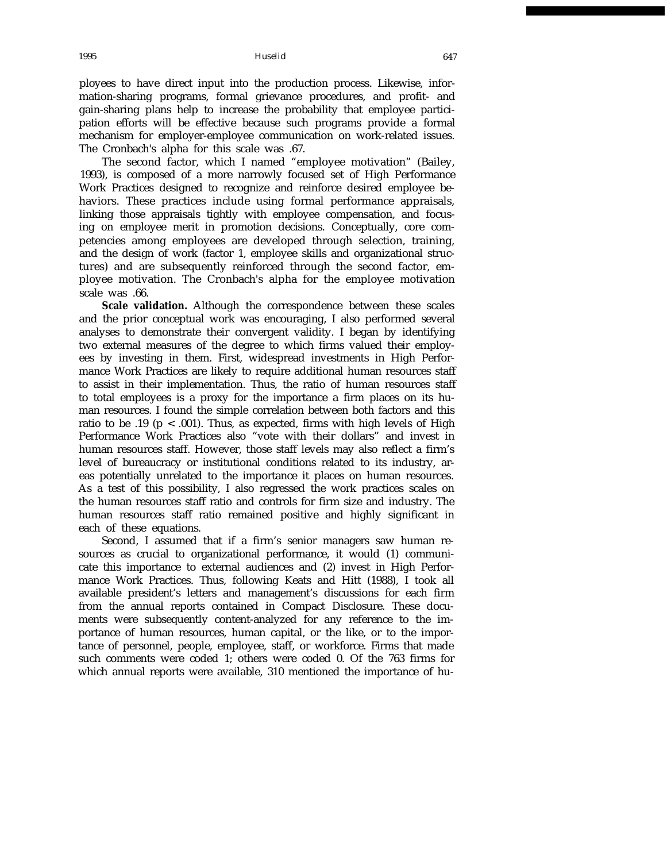ployees to have direct input into the production process. Likewise, information-sharing programs, formal grievance procedures, and profit- and gain-sharing plans help to increase the probability that employee participation efforts will be effective because such programs provide a formal mechanism for employer-employee communication on work-related issues. The Cronbach's alpha for this scale was .67.

The second factor, which I named "employee motivation" (Bailey, 1993), is composed of a more narrowly focused set of High Performance Work Practices designed to recognize and reinforce desired employee behaviors. These practices include using formal performance appraisals, linking those appraisals tightly with employee compensation, and focusing on employee merit in promotion decisions. Conceptually, core competencies among employees are developed through selection, training, and the design of work (factor 1, employee skills and organizational structures) and are subsequently reinforced through the second factor, employee motivation. The Cronbach's alpha for the employee motivation scale was .66.

**Scale validation.** Although the correspondence between these scales and the prior conceptual work was encouraging, I also performed several analyses to demonstrate their convergent validity. I began by identifying two external measures of the degree to which firms valued their employees by investing in them. First, widespread investments in High Performance Work Practices are likely to require additional human resources staff to assist in their implementation. Thus, the ratio of human resources staff to total employees is a proxy for the importance a firm places on its human resources. I found the simple correlation between both factors and this ratio to be .19 ( $p < .001$ ). Thus, as expected, firms with high levels of High Performance Work Practices also "vote with their dollars" and invest in human resources staff. However, those staff levels may also reflect a firm's level of bureaucracy or institutional conditions related to its industry, areas potentially unrelated to the importance it places on human resources. As a test of this possibility, I also regressed the work practices scales on the human resources staff ratio and controls for firm size and industry. The human resources staff ratio remained positive and highly significant in each of these equations.

Second, I assumed that if a firm's senior managers saw human resources as crucial to organizational performance, it would (1) communicate this importance to external audiences and (2) invest in High Performance Work Practices. Thus, following Keats and Hitt (1988), I took all available president's letters and management's discussions for each firm from the annual reports contained in Compact Disclosure. These documents were subsequently content-analyzed for any reference to the importance of human resources, human capital, or the like, or to the importance of personnel, people, employee, staff, or workforce. Firms that made such comments were coded 1; others were coded 0. Of the 763 firms for which annual reports were available, 310 mentioned the importance of hu-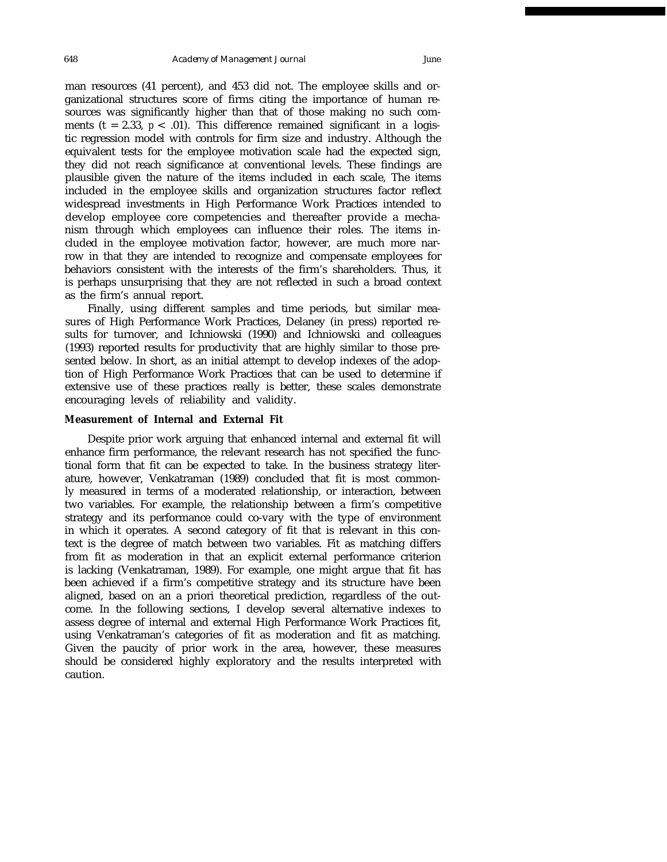man resources (41 percent), and 453 did not. The employee skills and organizational structures score of firms citing the importance of human resources was significantly higher than that of those making no such comments ( $t = 2.33$ ,  $p < .01$ ). This difference remained significant in a logistic regression model with controls for firm size and industry. Although the equivalent tests for the employee motivation scale had the expected sign, they did not reach significance at conventional levels. These findings are plausible given the nature of the items included in each scale, The items included in the employee skills and organization structures factor reflect widespread investments in High Performance Work Practices intended to develop employee core competencies and thereafter provide a mechanism through which employees can influence their roles. The items included in the employee motivation factor, however, are much more narrow in that they are intended to recognize and compensate employees for behaviors consistent with the interests of the firm's shareholders. Thus, it is perhaps unsurprising that they are not reflected in such a broad context as the firm's annual report.

Finally, using different samples and time periods, but similar measures of High Performance Work Practices, Delaney (in press) reported results for turnover, and Ichniowski (1990) and Ichniowski and colleagues (1993) reported results for productivity that are highly similar to those presented below. In short, as an initial attempt to develop indexes of the adoption of High Performance Work Practices that can be used to determine if extensive use of these practices really is better, these scales demonstrate encouraging levels of reliability and validity.

# **Measurement of Internal and External Fit**

Despite prior work arguing that enhanced internal and external fit will enhance firm performance, the relevant research has not specified the functional form that fit can be expected to take. In the business strategy literature, however, Venkatraman (1989) concluded that fit is most commonly measured in terms of a moderated relationship, or interaction, between two variables. For example, the relationship between a firm's competitive strategy and its performance could co-vary with the type of environment in which it operates. A second category of fit that is relevant in this context is the degree of match between two variables. Fit as matching differs from fit as moderation in that an explicit external performance criterion is lacking (Venkatraman, 1989). For example, one might argue that fit has been achieved if a firm's competitive strategy and its structure have been aligned, based on an a priori theoretical prediction, regardless of the outcome. In the following sections, I develop several alternative indexes to assess degree of internal and external High Performance Work Practices fit, using Venkatraman's categories of fit as moderation and fit as matching. Given the paucity of prior work in the area, however, these measures should be considered highly exploratory and the results interpreted with caution.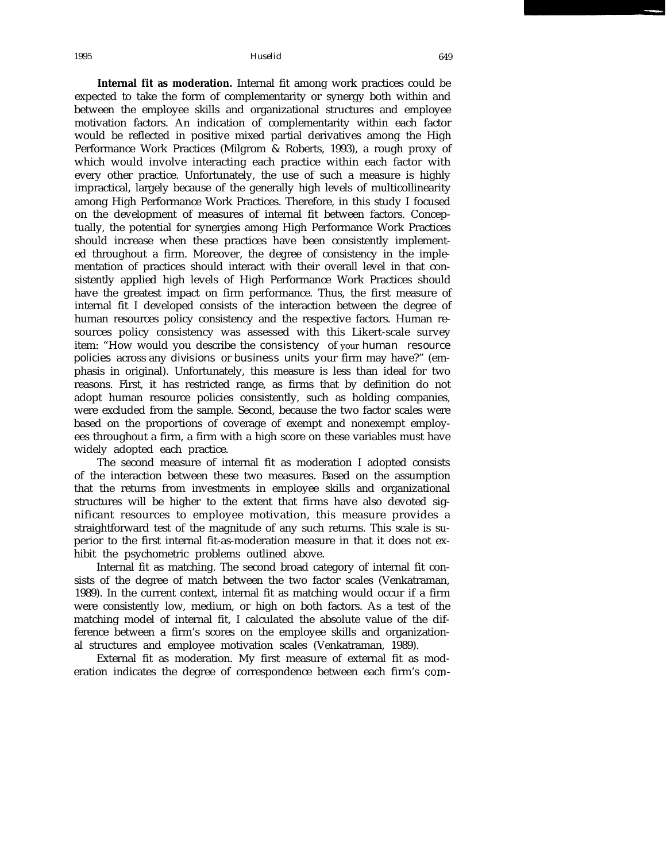**Internal fit as moderation.** Internal fit among work practices could be expected to take the form of complementarity or synergy both within and between the employee skills and organizational structures and employee motivation factors. An indication of complementarity within each factor would be reflected in positive mixed partial derivatives among the High Performance Work Practices (Milgrom & Roberts, 1993), a rough proxy of which would involve interacting each practice within each factor with every other practice. Unfortunately, the use of such a measure is highly impractical, largely because of the generally high levels of multicollinearity among High Performance Work Practices. Therefore, in this study I focused on the development of measures of internal fit between factors. Conceptually, the potential for synergies among High Performance Work Practices should increase when these practices have been consistently implemented throughout a firm. Moreover, the degree of consistency in the implementation of practices should interact with their overall level in that consistently applied high levels of High Performance Work Practices should have the greatest impact on firm performance. Thus, the first measure of internal fit I developed consists of the interaction between the degree of human resources policy consistency and the respective factors. Human resources policy consistency was assessed with this Likert-scale survey item: "How would you describe the *consistency* of your *human resource policies* across any *divisions* or *business units* your firm may have?" (emphasis in original). Unfortunately, this measure is less than ideal for two reasons. First, it has restricted range, as firms that by definition do not adopt human resource policies consistently, such as holding companies, were excluded from the sample. Second, because the two factor scales were based on the proportions of coverage of exempt and nonexempt employees throughout a firm, a firm with a high score on these variables must have widely adopted each practice.

The second measure of internal fit as moderation I adopted consists of the interaction between these two measures. Based on the assumption that the returns from investments in employee skills and organizational structures will be higher to the extent that firms have also devoted significant resources to employee motivation, this measure provides a straightforward test of the magnitude of any such returns. This scale is superior to the first internal fit-as-moderation measure in that it does not exhibit the psychometric problems outlined above.

Internal fit as matching. The second broad category of internal fit consists of the degree of match between the two factor scales (Venkatraman, 1989). In the current context, internal fit as matching would occur if a firm were consistently low, medium, or high on both factors. As a test of the matching model of internal fit, I calculated the absolute value of the difference between a firm's scores on the employee skills and organizational structures and employee motivation scales (Venkatraman, 1989).

External fit as moderation. My first measure of external fit as moderation indicates the degree of correspondence between each firm's com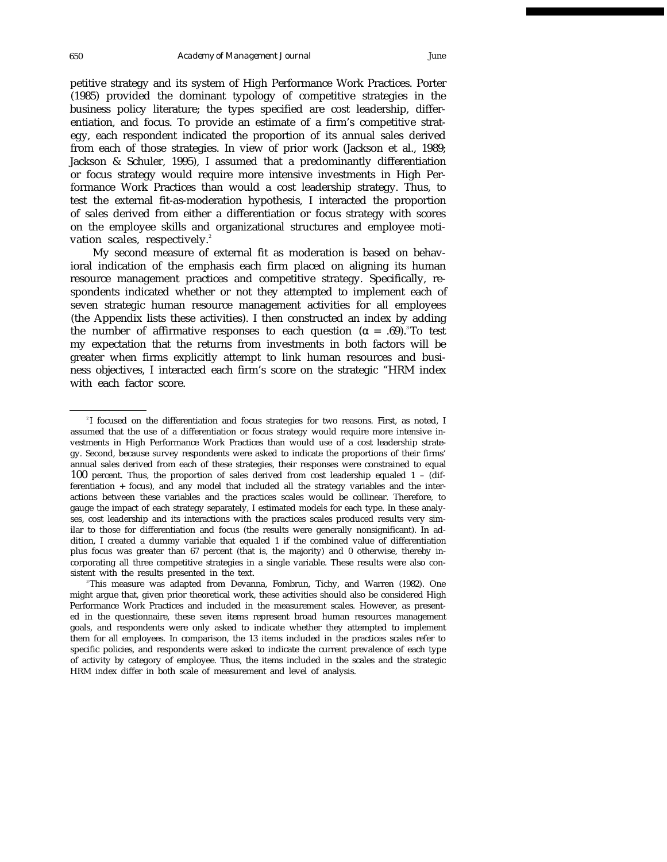petitive strategy and its system of High Performance Work Practices. Porter (1985) provided the dominant typology of competitive strategies in the business policy literature; the types specified are cost leadership, differentiation, and focus. To provide an estimate of a firm's competitive strategy, each respondent indicated the proportion of its annual sales derived from each of those strategies. In view of prior work (Jackson et al., 1989; Jackson & Schuler, 1995), I assumed that a predominantly differentiation or focus strategy would require more intensive investments in High Performance Work Practices than would a cost leadership strategy. Thus, to test the external fit-as-moderation hypothesis, I interacted the proportion of sales derived from either a differentiation or focus strategy with scores on the employee skills and organizational structures and employee motivation scales, respectively.<sup>2</sup>

My second measure of external fit as moderation is based on behavioral indication of the emphasis each firm placed on aligning its human resource management practices and competitive strategy. Specifically, respondents indicated whether or not they attempted to implement each of seven strategic human resource management activities for all employees (the Appendix lists these activities). I then constructed an index by adding the number of affirmative responses to each question ( $\alpha = .69$ ).<sup>3</sup>To test my expectation that the returns from investments in both factors will be greater when firms explicitly attempt to link human resources and business objectives, I interacted each firm's score on the strategic "HRM index with each factor score.

<sup>&</sup>lt;sup>2</sup>I focused on the differentiation and focus strategies for two reasons. First, as noted, I assumed that the use of a differentiation or focus strategy would require more intensive investments in High Performance Work Practices than would use of a cost leadership strategy. Second, because survey respondents were asked to indicate the proportions of their firms' annual sales derived from each of these strategies, their responses were constrained to equal 100 percent. Thus, the proportion of sales derived from cost leadership equaled 1 – (differentiation + focus), and any model that included all the strategy variables and the interactions between these variables and the practices scales would be collinear. Therefore, to gauge the impact of each strategy separately, I estimated models for each type. In these analyses, cost leadership and its interactions with the practices scales produced results very similar to those for differentiation and focus (the results were generally nonsignificant). In addition, I created a dummy variable that equaled 1 if the combined value of differentiation plus focus was greater than 67 percent (that is, the majority) and 0 otherwise, thereby incorporating all three competitive strategies in a single variable. These results were also consistent with the results presented in the text.

<sup>3</sup>This measure was adapted from Devanna, Fombrun, Tichy, and Warren (1982). One might argue that, given prior theoretical work, these activities should also be considered High Performance Work Practices and included in the measurement scales. However, as presented in the questionnaire, these seven items represent broad human resources management goals, and respondents were only asked to indicate whether they attempted to implement them for all employees. In comparison, the 13 items included in the practices scales refer to specific policies, and respondents were asked to indicate the current prevalence of each type of activity by category of employee. Thus, the items included in the scales and the strategic HRM index differ in both scale of measurement and level of analysis.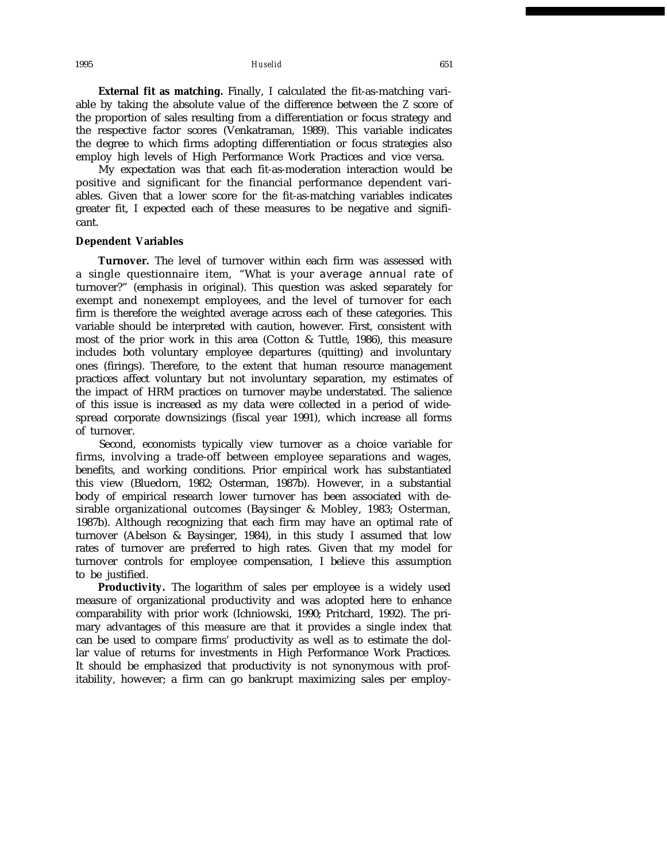1995 *Huselid* 651

**External fit as matching.** Finally, I calculated the fit-as-matching variable by taking the absolute value of the difference between the *Z* score of the proportion of sales resulting from a differentiation or focus strategy and the respective factor scores (Venkatraman, 1989). This variable indicates the degree to which firms adopting differentiation or focus strategies also employ high levels of High Performance Work Practices and vice versa.

My expectation was that each fit-as-moderation interaction would be positive and significant for the financial performance dependent variables. Given that a lower score for the fit-as-matching variables indicates greater fit, I expected each of these measures to be negative and significant.

#### **Dependent Variables**

**Turnover.** The level of turnover within each firm was assessed with a single questionnaire item, "What is your *average annual rate* of turnover?" (emphasis in original). This question was asked separately for exempt and nonexempt employees, and the level of turnover for each firm is therefore the weighted average across each of these categories. This variable should be interpreted with caution, however. First, consistent with most of the prior work in this area (Cotton & Tuttle, 1986), this measure includes both voluntary employee departures (quitting) and involuntary ones (firings). Therefore, to the extent that human resource management practices affect voluntary but not involuntary separation, my estimates of the impact of HRM practices on turnover maybe understated. The salience of this issue is increased as my data were collected in a period of widespread corporate downsizings (fiscal year 1991), which increase all forms of turnover.

Second, economists typically view turnover as a choice variable for firms, involving a trade-off between employee separations and wages, benefits, and working conditions. Prior empirical work has substantiated this view (Bluedorn, 1982; Osterman, 1987b). However, in a substantial body of empirical research lower turnover has been associated with desirable organizational outcomes (Baysinger & Mobley, 1983; Osterman, 1987b). Although recognizing that each firm may have an optimal rate of turnover (Abelson & Baysinger, 1984), in this study I assumed that low rates of turnover are preferred to high rates. Given that my model for turnover controls for employee compensation, I believe this assumption to be justified.

**Productivity.** The logarithm of sales per employee is a widely used measure of organizational productivity and was adopted here to enhance comparability with prior work (Ichniowski, 1990; Pritchard, 1992). The primary advantages of this measure are that it provides a single index that can be used to compare firms' productivity as well as to estimate the dollar value of returns for investments in High Performance Work Practices. It should be emphasized that productivity is not synonymous with profitability, however; a firm can go bankrupt maximizing sales per employ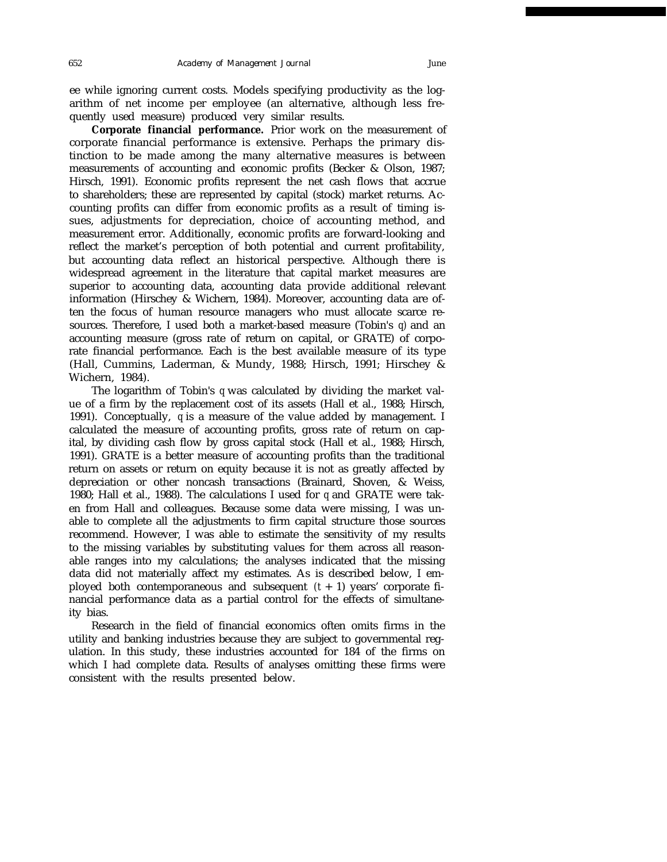ee while ignoring current costs. Models specifying productivity as the logarithm of net income per employee (an alternative, although less frequently used measure) produced very similar results.

**Corporate financial performance.** Prior work on the measurement of corporate financial performance is extensive. Perhaps the primary distinction to be made among the many alternative measures is between measurements of accounting and economic profits (Becker & Olson, 1987; Hirsch, 1991). Economic profits represent the net cash flows that accrue to shareholders; these are represented by capital (stock) market returns. Accounting profits can differ from economic profits as a result of timing issues, adjustments for depreciation, choice of accounting method, and measurement error. Additionally, economic profits are forward-looking and reflect the market's perception of both potential and current profitability, but accounting data reflect an historical perspective. Although there is widespread agreement in the literature that capital market measures are superior to accounting data, accounting data provide additional relevant information (Hirschey & Wichern, 1984). Moreover, accounting data are often the focus of human resource managers who must allocate scarce resources. Therefore, I used both a market-based measure (Tobin's *q)* and an accounting measure (gross rate of return on capital, or GRATE) of corporate financial performance. Each is the best available measure of its type (Hall, Cummins, Laderman, & Mundy, 1988; Hirsch, 1991; Hirschey & Wichern, 1984).

The logarithm of Tobin's *q* was calculated by dividing the market value of a firm by the replacement cost of its assets (Hall et al., 1988; Hirsch, 1991). Conceptually, *q* is a measure of the value added by management. I calculated the measure of accounting profits, gross rate of return on capital, by dividing cash flow by gross capital stock (Hall et al., 1988; Hirsch, 1991). GRATE is a better measure of accounting profits than the traditional return on assets or return on equity because it is not as greatly affected by depreciation or other noncash transactions (Brainard, Shoven, & Weiss, 1980; Hall et al., 1988). The calculations I used for *q* and GRATE were taken from Hall and colleagues. Because some data were missing, I was unable to complete all the adjustments to firm capital structure those sources recommend. However, I was able to estimate the sensitivity of my results to the missing variables by substituting values for them across all reasonable ranges into my calculations; the analyses indicated that the missing data did not materially affect my estimates. As is described below, I employed both contemporaneous and subsequent  $(t + 1)$  years' corporate financial performance data as a partial control for the effects of simultaneity bias.

Research in the field of financial economics often omits firms in the utility and banking industries because they are subject to governmental regulation. In this study, these industries accounted for 184 of the firms on which I had complete data. Results of analyses omitting these firms were consistent with the results presented below.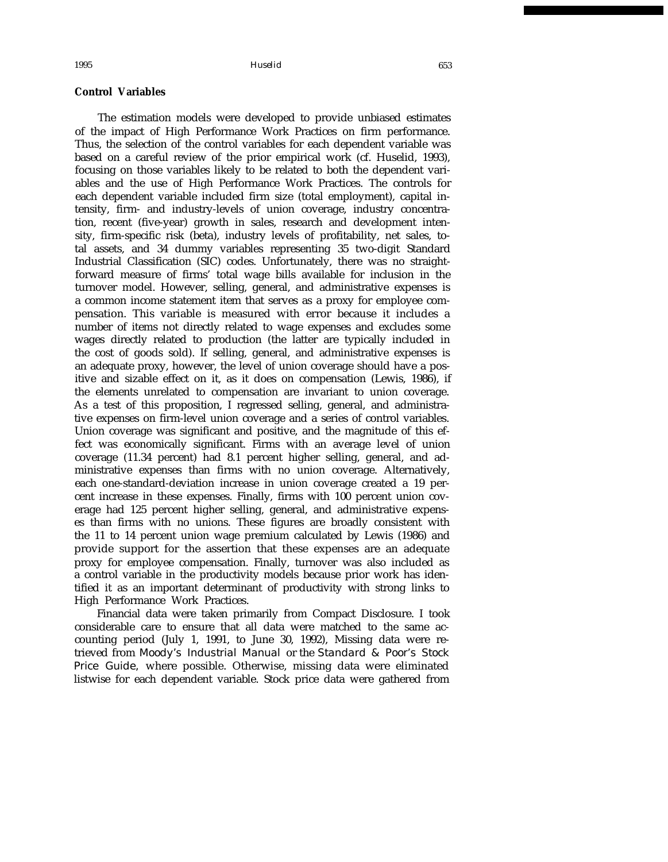The estimation models were developed to provide unbiased estimates of the impact of High Performance Work Practices on firm performance. Thus, the selection of the control variables for each dependent variable was based on a careful review of the prior empirical work (cf. Huselid, 1993), focusing on those variables likely to be related to both the dependent variables and the use of High Performance Work Practices. The controls for each dependent variable included firm size (total employment), capital intensity, firm- and industry-levels of union coverage, industry concentration, recent (five-year) growth in sales, research and development intensity, firm-specific risk (beta), industry levels of profitability, net sales, total assets, and 34 dummy variables representing 35 two-digit Standard Industrial Classification (SIC) codes. Unfortunately, there was no straightforward measure of firms' total wage bills available for inclusion in the turnover model. However, selling, general, and administrative expenses is a common income statement item that serves as a proxy for employee compensation. This variable is measured with error because it includes a number of items not directly related to wage expenses and excludes some wages directly related to production (the latter are typically included in the cost of goods sold). If selling, general, and administrative expenses is an adequate proxy, however, the level of union coverage should have a positive and sizable effect on it, as it does on compensation (Lewis, 1986), if the elements unrelated to compensation are invariant to union coverage. As a test of this proposition, I regressed selling, general, and administrative expenses on firm-level union coverage and a series of control variables. Union coverage was significant and positive, and the magnitude of this effect was economically significant. Firms with an average level of union coverage (11.34 percent) had 8.1 percent higher selling, general, and administrative expenses than firms with no union coverage. Alternatively, each one-standard-deviation increase in union coverage created a 19 percent increase in these expenses. Finally, firms with 100 percent union coverage had 125 percent higher selling, general, and administrative expenses than firms with no unions. These figures are broadly consistent with the 11 to 14 percent union wage premium calculated by Lewis (1986) and provide support for the assertion that these expenses are an adequate proxy for employee compensation. Finally, turnover was also included as a control variable in the productivity models because prior work has identified it as an important determinant of productivity with strong links to High Performance Work Practices.

Financial data were taken primarily from Compact Disclosure. I took considerable care to ensure that all data were matched to the same accounting period (July 1, 1991, to June 30, 1992), Missing data were retrieved from *Moody's Industrial Manual* or the *Standard & Poor's Stock Price Guide,* where possible. Otherwise, missing data were eliminated listwise for each dependent variable. Stock price data were gathered from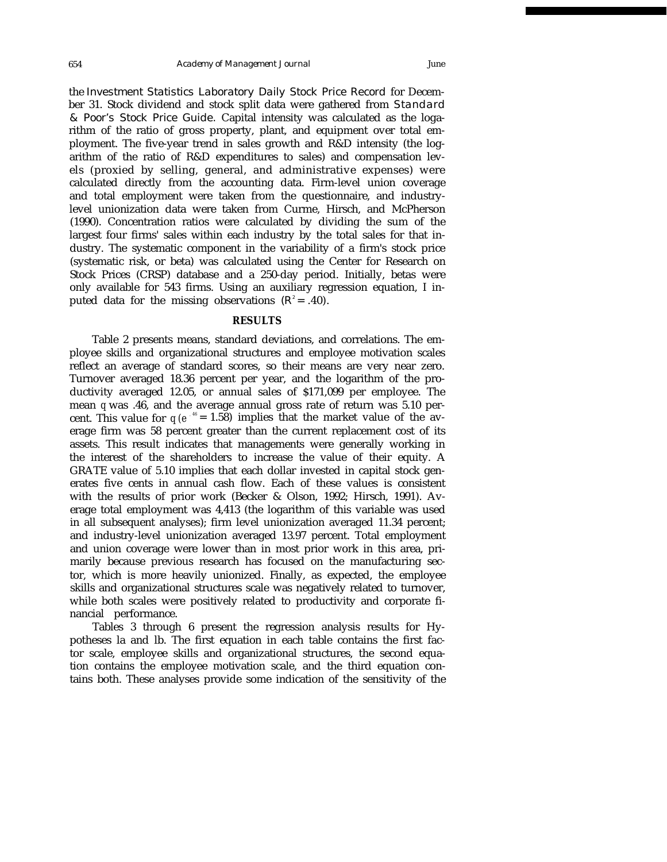the *Investment Statistics Laboratory Daily Stock Price Record* for December 31. Stock dividend and stock split data were gathered from *Standard & Poor's Stock Price Guide.* Capital intensity was calculated as the logarithm of the ratio of gross property, plant, and equipment over total employment. The five-year trend in sales growth and R&D intensity (the logarithm of the ratio of R&D expenditures to sales) and compensation levels (proxied by selling, general, and administrative expenses) were calculated directly from the accounting data. Firm-level union coverage and total employment were taken from the questionnaire, and industrylevel unionization data were taken from Curme, Hirsch, and McPherson (1990). Concentration ratios were calculated by dividing the sum of the largest four firms' sales within each industry by the total sales for that industry. The systematic component in the variability of a firm's stock price (systematic risk, or beta) was calculated using the Center for Research on Stock Prices (CRSP) database and a 250-day period. Initially, betas were only available for 543 firms. Using an auxiliary regression equation, I inputed data for the missing observations  $(R^2 = .40)$ .

#### **RESULTS**

Table 2 presents means, standard deviations, and correlations. The employee skills and organizational structures and employee motivation scales reflect an average of standard scores, so their means are very near zero. Turnover averaged 18.36 percent per year, and the logarithm of the productivity averaged 12.05, or annual sales of \$171,099 per employee. The mean *q* was .46, and the average annual gross rate of return was 5.10 percent. This value for  $q(e^{-i\theta} = 1.58)$  implies that the market value of the average firm was 58 percent greater than the current replacement cost of its assets. This result indicates that managements were generally working in the interest of the shareholders to increase the value of their equity. A GRATE value of 5.10 implies that each dollar invested in capital stock generates five cents in annual cash flow. Each of these values is consistent with the results of prior work (Becker & Olson, 1992; Hirsch, 1991). Average total employment was 4,413 (the logarithm of this variable was used in all subsequent analyses); firm level unionization averaged 11.34 percent; and industry-level unionization averaged 13.97 percent. Total employment and union coverage were lower than in most prior work in this area, primarily because previous research has focused on the manufacturing sector, which is more heavily unionized. Finally, as expected, the employee skills and organizational structures scale was negatively related to turnover, while both scales were positively related to productivity and corporate financial performance.

Tables 3 through 6 present the regression analysis results for Hypotheses la and lb. The first equation in each table contains the first factor scale, employee skills and organizational structures, the second equation contains the employee motivation scale, and the third equation contains both. These analyses provide some indication of the sensitivity of the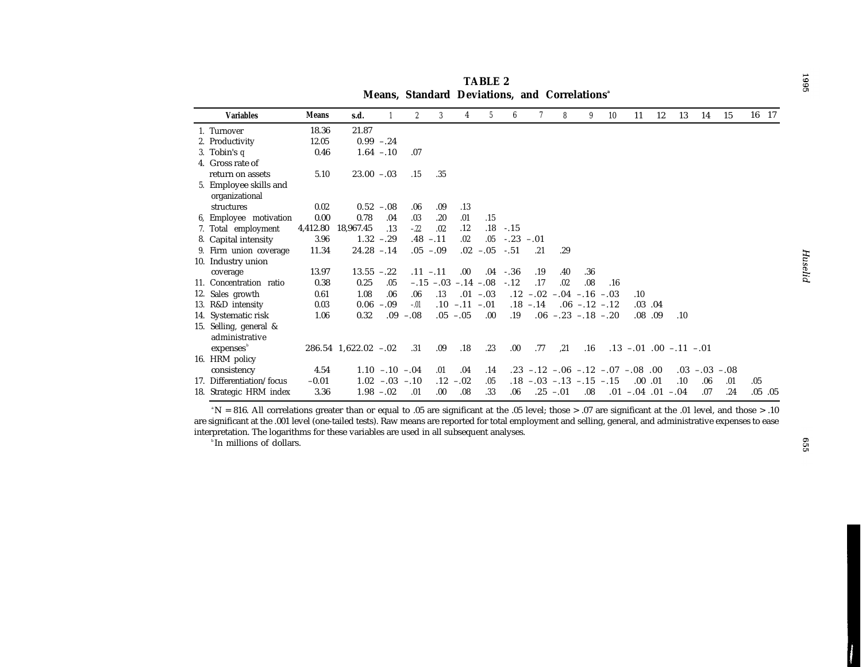| <b>Variables</b>          | <b>Means</b> | s.d.                   |                    | $\boldsymbol{2}$ | 3           | 4                    | 5           | 6      | 7                             | 8                       | 9                 | 10                                  | 11                      | 12          | 13                            | 14                | 15  | 16 17 |             |
|---------------------------|--------------|------------------------|--------------------|------------------|-------------|----------------------|-------------|--------|-------------------------------|-------------------------|-------------------|-------------------------------------|-------------------------|-------------|-------------------------------|-------------------|-----|-------|-------------|
| 1. Turnover               | 18.36        | 21.87                  |                    |                  |             |                      |             |        |                               |                         |                   |                                     |                         |             |                               |                   |     |       |             |
| 2. Productivity           | 12.05        |                        | $0.99 - 24$        |                  |             |                      |             |        |                               |                         |                   |                                     |                         |             |                               |                   |     |       |             |
| 3. Tobin's $q$            | 0.46         |                        | $1.64 - 10$        | .07              |             |                      |             |        |                               |                         |                   |                                     |                         |             |                               |                   |     |       |             |
| 4. Gross rate of          |              |                        |                    |                  |             |                      |             |        |                               |                         |                   |                                     |                         |             |                               |                   |     |       |             |
| return on assets          | 5.10         | $23.00 - 0.03$         |                    | .15              | .35         |                      |             |        |                               |                         |                   |                                     |                         |             |                               |                   |     |       |             |
| 5. Employee skills and    |              |                        |                    |                  |             |                      |             |        |                               |                         |                   |                                     |                         |             |                               |                   |     |       |             |
| organizational            |              |                        |                    |                  |             |                      |             |        |                               |                         |                   |                                     |                         |             |                               |                   |     |       |             |
| structures                | 0.02         |                        | $0.52 - 0.08$      | .06              | .09         | .13                  |             |        |                               |                         |                   |                                     |                         |             |                               |                   |     |       |             |
| 6, Employee motivation    | 0.00         | 0.78                   | .04                | .03              | .20         | .01                  | .15         |        |                               |                         |                   |                                     |                         |             |                               |                   |     |       |             |
| 7. Total employment       |              | 4,412.80 18,967.45     | .13                | $-.22$           | .02         | .12                  | .18         | $-.15$ |                               |                         |                   |                                     |                         |             |                               |                   |     |       |             |
| 8. Capital intensity      | 3.96         |                        | $1.32 - 29$        |                  | $.48 - .11$ | .02                  | .05         | $-.23$ | $-.01$                        |                         |                   |                                     |                         |             |                               |                   |     |       |             |
| 9. Firm union coverage    | 11.34        | $24.28 - 14$           |                    |                  | $.05 - .09$ | .02                  | $-.05$      | $-.51$ | .21                           | .29                     |                   |                                     |                         |             |                               |                   |     |       |             |
| 10. Industry union        |              |                        |                    |                  |             |                      |             |        |                               |                         |                   |                                     |                         |             |                               |                   |     |       |             |
| coverage                  | 13.97        | $13.55 - 22$           |                    |                  | $.11 - .11$ | .00.                 | .04         | $-.36$ | .19                           | .40                     | .36               |                                     |                         |             |                               |                   |     |       |             |
| 11. Concentration ratio   | 0.38         | 0.25                   | .05                | $-.15$           |             | $-.03$ $-.14$ $-.08$ |             | $-.12$ | .17                           | .02                     | .08               | .16                                 |                         |             |                               |                   |     |       |             |
| 12. Sales growth          | 0.61         | 1.08                   | .06                | .06              | .13         |                      | $.01 - .03$ |        | $.12 - .02 - .04 - .16 - .03$ |                         |                   |                                     | .10                     |             |                               |                   |     |       |             |
| 13. R&D intensity         | 0.03         |                        | $0.06 - 0.09$      | $-.01$           | .10         | $-.11-.01$           |             |        | $.18 - .14$                   |                         | $.06 - .12 - .12$ |                                     |                         | $.03$ $.04$ |                               |                   |     |       |             |
| 14. Systematic risk       | 1.06         | 0.32                   | .09                | $-.08$           | .05         | $-.05$               | .00         | .19    |                               | $.06 - .23 - .18 - .20$ |                   |                                     |                         | $.08$ .09   | .10                           |                   |     |       |             |
| 15. Selling, general &    |              |                        |                    |                  |             |                      |             |        |                               |                         |                   |                                     |                         |             |                               |                   |     |       |             |
| administrative            |              |                        |                    |                  |             |                      |             |        |                               |                         |                   |                                     |                         |             |                               |                   |     |       |             |
| expenses <sup>b</sup>     |              | $286.54$ 1,622.02 -.02 |                    | .31              | .09         | .18                  | .23         | .00.   | .77                           | , 21                    | .16               |                                     |                         |             | $.13 - .01$ $.00 - .11 - .01$ |                   |     |       |             |
| 16. HRM policy            |              |                        |                    |                  |             |                      |             |        |                               |                         |                   |                                     |                         |             |                               |                   |     |       |             |
| consistency               | 4.54         |                        | $1.10 - 10 - 04$   |                  | .01         | .04                  | .14         |        |                               |                         |                   | $.23 - .12 - .06 - .12 - .07 - .08$ |                         |             |                               | $.03 - .03 - .08$ |     |       |             |
| 17. Differentiation/focus | $-0.01$      |                        | $1.02 - 0.03 - 10$ |                  | .12         | $-.02$               | .05         |        | $.18 - .03 - .13 - .15 - .15$ |                         |                   |                                     |                         | $.00$ $.01$ | .10                           | .06               | .01 | .05   |             |
| 18. Strategic HRM index   | 3.36         |                        | $1.98 - 0.02$      | .01              | .00         | .08                  | .33         | .06    |                               | $.25 - .01$             | .08               |                                     | $.01 - .04$ $.01 - .04$ |             |                               | .07               | .24 |       | $.05$ $.05$ |

**TABLE 2 Means, Standard Deviations, and Correlations<sup>a</sup>**

<sup>a</sup>N = 816. All correlations greater than or equal to .05 are significant at the .05 level; those > .07 are significant at the .01 level, and those > .10 are significant at the .001 level (one-tailed tests). Raw means are reported for total employment and selling, general, and administrative expenses to ease interpretation. The logarithms for these variables are used in all subsequent analyses.

 $\overline{\text{In}}$  millions of dollars.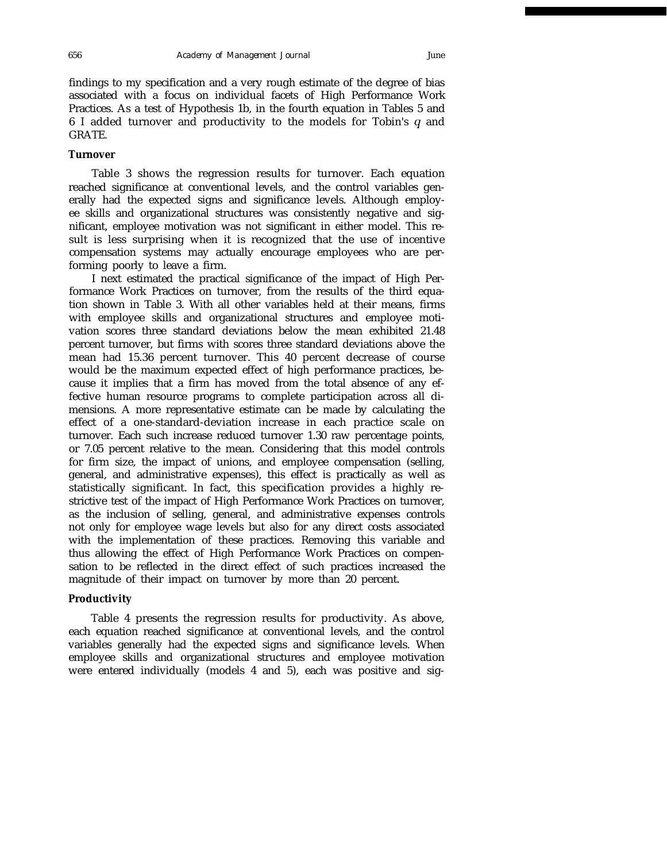findings to my specification and a very rough estimate of the degree of bias associated with a focus on individual facets of High Performance Work Practices. As a test of Hypothesis 1b, in the fourth equation in Tables 5 and 6 I added turnover and productivity to the models for Tobin's *q* and GRATE.

#### **Turnover**

Table 3 shows the regression results for turnover. Each equation reached significance at conventional levels, and the control variables generally had the expected signs and significance levels. Although employee skills and organizational structures was consistently negative and significant, employee motivation was not significant in either model. This result is less surprising when it is recognized that the use of incentive compensation systems may actually encourage employees who are performing poorly to leave a firm.

I next estimated the practical significance of the impact of High Performance Work Practices on turnover, from the results of the third equation shown in Table 3. With all other variables held at their means, firms with employee skills and organizational structures and employee motivation scores three standard deviations below the mean exhibited 21.48 percent turnover, but firms with scores three standard deviations above the mean had 15.36 percent turnover. This 40 percent decrease of course would be the maximum expected effect of high performance practices, because it implies that a firm has moved from the total absence of any effective human resource programs to complete participation across all dimensions. A more representative estimate can be made by calculating the effect of a one-standard-deviation increase in each practice scale on turnover. Each such increase reduced turnover 1.30 raw percentage points, or 7.05 percent relative to the mean. Considering that this model controls for firm size, the impact of unions, and employee compensation (selling, general, and administrative expenses), this effect is practically as well as statistically significant. In fact, this specification provides a highly restrictive test of the impact of High Performance Work Practices on turnover, as the inclusion of selling, general, and administrative expenses controls not only for employee wage levels but also for any direct costs associated with the implementation of these practices. Removing this variable and thus allowing the effect of High Performance Work Practices on compensation to be reflected in the direct effect of such practices increased the magnitude of their impact on turnover by more than 20 percent.

#### **Productivity**

Table 4 presents the regression results for productivity. As above, each equation reached significance at conventional levels, and the control variables generally had the expected signs and significance levels. When employee skills and organizational structures and employee motivation were entered individually (models 4 and 5), each was positive and sig-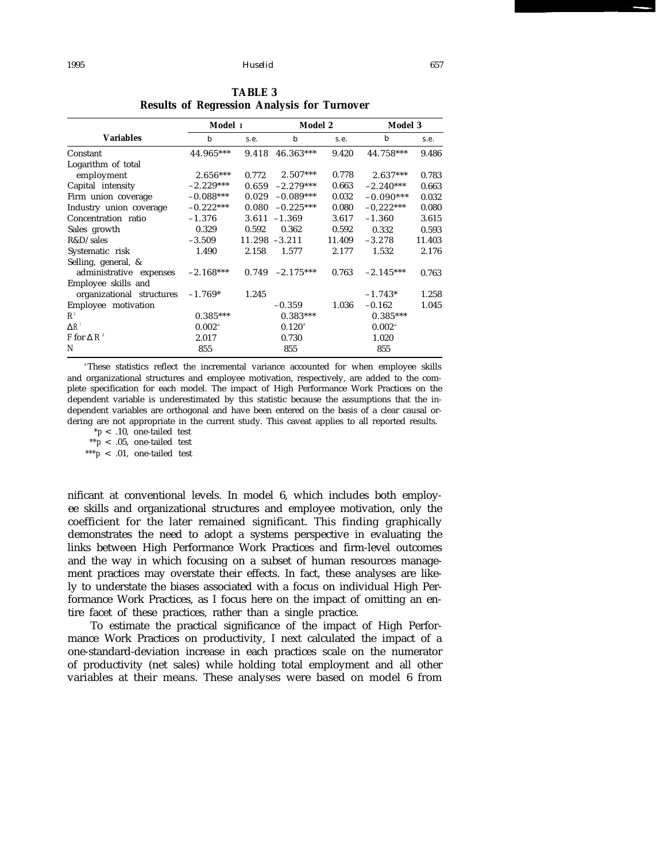|                           | Model I              |       | Model 2              |        | Model 3              |        |
|---------------------------|----------------------|-------|----------------------|--------|----------------------|--------|
| <b>Variables</b>          | ь                    | s.e.  | ь                    | s.e.   | ь                    | s.e.   |
| Constant                  | 44.965***            | 9.418 | 46.363***            | 9.420  | 44.758***            | 9.486  |
| Logarithm of total        |                      |       |                      |        |                      |        |
| employment                | $2.656***$           | 0.772 | $2.507***$           | 0.778  | $2.637***$           | 0.783  |
| Capital intensity         | $-2.229***$          | 0.659 | $-2.279***$          | 0.663  | $-2.240***$          | 0.663  |
| Firm union coverage       | $-0.088***$          | 0.029 | $-0.089***$          | 0.032  | $-0.090***$          | 0.032  |
| Industry union coverage   | $-0.222***$          | 0.080 | $-0.225***$          | 0.080  | $-0.222***$          | 0.080  |
| Concentration ratio       | $-1.376$             | 3.611 | $-1.369$             | 3.617  | $-1.360$             | 3.615  |
| Sales growth              | 0.329                | 0.592 | 0.362                | 0.592  | 0.332                | 0.593  |
| R&D/sales                 | $-3.509$             |       | $11.298 - 3.211$     | 11.409 | $-3.278$             | 11.403 |
| Systematic risk           | 1.490                | 2.158 | 1.577                | 2.177  | 1.532                | 2.176  |
| Selling, general, &       |                      |       |                      |        |                      |        |
| administrative expenses   | $-2.168***$          |       | $0.749 - 2.175***$   | 0.763  | $-2.145***$          | 0.763  |
| Employee skills and       |                      |       |                      |        |                      |        |
| organizational structures | $-1.769*$            | 1.245 |                      |        | $-1.743*$            | 1.258  |
| Employee motivation       |                      |       | $-0.359$             | 1.036  | $-0.162$             | 1.045  |
| $R^2$                     | $0.385***$           |       | $0.383***$           |        | $0.385***$           |        |
| $\Delta R^2$              | $0.002$ <sup>a</sup> |       | $0.120$ <sup>a</sup> |        | $0.002$ <sup>*</sup> |        |
| F for $\triangle R^2$     | 2.017                |       | 0.730                |        | 1.020                |        |
| N                         | 855                  |       | 855                  |        | 855                  |        |

**TABLE 3 Results of Regression Analysis for Turnover**

<sup>a</sup>These statistics reflect the incremental variance accounted for when employee skills and organizational structures and employee motivation, respectively, are added to the complete specification for each model. The impact of High Performance Work Practices on the dependent variable is underestimated by this statistic because the assumptions that the independent variables are orthogonal and have been entered on the basis of a clear causal ordering are not appropriate in the current study. This caveat applies to all reported results.

*\*p* < .10, one-tailed test *\*\*p* < .05, one-tailed test *\*\*\*p* < .01, one-tailed test

nificant at conventional levels. In model 6, which includes both employee skills and organizational structures and employee motivation, only the coefficient for the later remained significant. This finding graphically demonstrates the need to adopt a systems perspective in evaluating the links between High Performance Work Practices and firm-level outcomes and the way in which focusing on a subset of human resources management practices may overstate their effects. In fact, these analyses are likely to understate the biases associated with a focus on individual High Performance Work Practices, as I focus here on the impact of omitting an entire facet of these practices, rather than a single practice.

To estimate the practical significance of the impact of High Performance Work Practices on productivity, I next calculated the impact of a one-standard-deviation increase in each practices scale on the numerator of productivity (net sales) while holding total employment and all other variables at their means. These analyses were based on model 6 from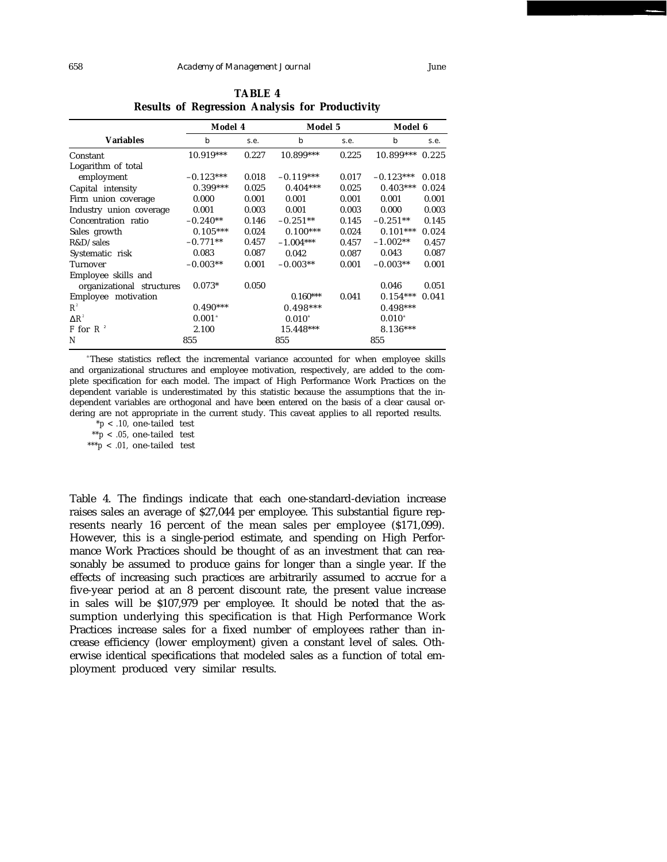|                           | Model 4<br>Model 5   |       |             |       | Model 6     |       |  |
|---------------------------|----------------------|-------|-------------|-------|-------------|-------|--|
| <b>Variables</b>          | ь                    | s.e.  | ь           | s.e.  | ь           | s.e.  |  |
| Constant                  | $10.919***$          | 0.227 | $10.899***$ | 0.225 | $10.899***$ | 0.225 |  |
| Logarithm of total        |                      |       |             |       |             |       |  |
| employment                | $-0.123***$          | 0.018 | $-0.119***$ | 0.017 | $-0.123***$ | 0.018 |  |
| Capital intensity         | $0.399***$           | 0.025 | $0.404***$  | 0.025 | $0.403***$  | 0.024 |  |
| Firm union coverage       | 0.000                | 0.001 | 0.001       | 0.001 | 0.001       | 0.001 |  |
| Industry union coverage   | 0.001                | 0.003 | 0.001       | 0.003 | 0.000       | 0.003 |  |
| Concentration ratio       | $-0.240**$           | 0.146 | $-0.251**$  | 0.145 | $-0.251**$  | 0.145 |  |
| Sales growth              | $0.105***$           | 0.024 | $0.100***$  | 0.024 | $0.101***$  | 0.024 |  |
| R&D/sales                 | $-0.771**$           | 0.457 | $-1.004***$ | 0.457 | $-1.002**$  | 0.457 |  |
| Systematic risk           | 0.083                | 0.087 | 0.042       | 0.087 | 0.043       | 0.087 |  |
| Turnover                  | $-0.003**$           | 0.001 | $-0.003**$  | 0.001 | $-0.003**$  | 0.001 |  |
| Employee skills and       |                      |       |             |       |             |       |  |
| organizational structures | $0.073*$             | 0.050 |             |       | 0.046       | 0.051 |  |
| Employee motivation       |                      |       | $0.160***$  | 0.041 | $0.154***$  | 0.041 |  |
| $\mathbb{R}^2$            | $0.490***$           |       | $0.498***$  |       | $0.498***$  |       |  |
| $\Delta R^2$              | $0.001$ <sup>*</sup> |       | $0.010^{4}$ |       | $0.010^*$   |       |  |
| F for $R^2$               | 2.100                |       | 15.448***   |       | $8.136***$  |       |  |
| N                         | 855                  |       | 855         |       | 855         |       |  |

**TABLE 4 Results of Regression Analysis for Productivity**

<sup>a</sup>These statistics reflect the incremental variance accounted for when employee skills and organizational structures and employee motivation, respectively, are added to the complete specification for each model. The impact of High Performance Work Practices on the dependent variable is underestimated by this statistic because the assumptions that the independent variables are orthogonal and have been entered on the basis of a clear causal ordering are not appropriate in the current study. This caveat applies to all reported results.

*\*p < .10,* one-tailed test *\*\*p < .05,* one-tailed test *\*\*\*p < .01,* one-tailed test

Table 4. The findings indicate that each one-standard-deviation increase raises sales an average of \$27,044 per employee. This substantial figure represents nearly 16 percent of the mean sales per employee (\$171,099). However, this is a single-period estimate, and spending on High Performance Work Practices should be thought of as an investment that can reasonably be assumed to produce gains for longer than a single year. If the effects of increasing such practices are arbitrarily assumed to accrue for a five-year period at an 8 percent discount rate, the present value increase in sales will be \$107,979 per employee. It should be noted that the assumption underlying this specification is that High Performance Work Practices increase sales for a fixed number of employees rather than increase efficiency (lower employment) given a constant level of sales. Otherwise identical specifications that modeled sales as a function of total employment produced very similar results.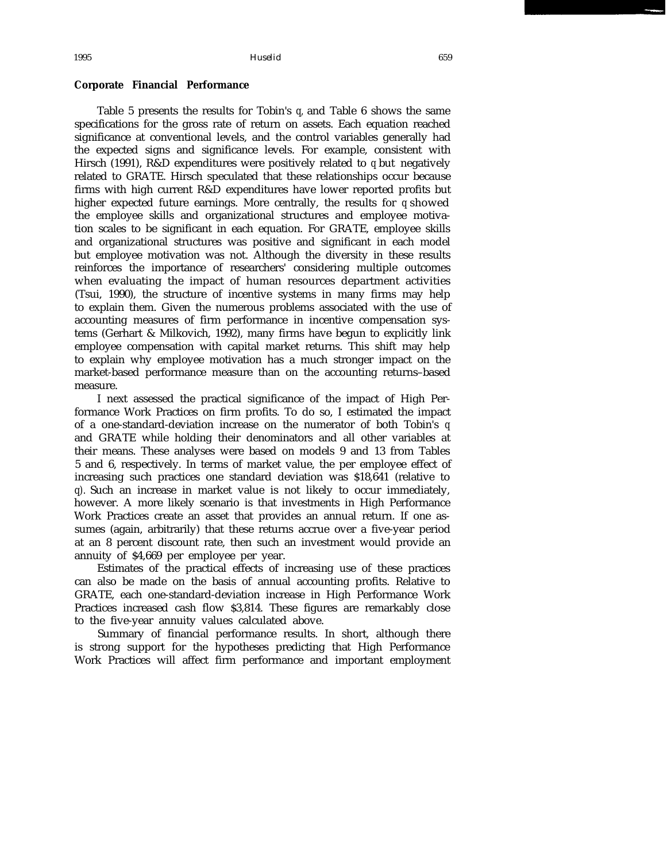#### **Corporate Financial Performance**

Table 5 presents the results for Tobin's *q,* and Table 6 shows the same specifications for the gross rate of return on assets. Each equation reached significance at conventional levels, and the control variables generally had the expected signs and significance levels. For example, consistent with Hirsch (1991), R&D expenditures were positively related to *q* but negatively related to GRATE. Hirsch speculated that these relationships occur because firms with high current R&D expenditures have lower reported profits but higher expected future earnings. More centrally, the results for *q* showed the employee skills and organizational structures and employee motivation scales to be significant in each equation. For GRATE, employee skills and organizational structures was positive and significant in each model but employee motivation was not. Although the diversity in these results reinforces the importance of researchers' considering multiple outcomes when evaluating the impact of human resources department activities (Tsui, 1990), the structure of incentive systems in many firms may help to explain them. Given the numerous problems associated with the use of accounting measures of firm performance in incentive compensation systems (Gerhart & Milkovich, 1992), many firms have begun to explicitly link employee compensation with capital market returns. This shift may help to explain why employee motivation has a much stronger impact on the market-based performance measure than on the accounting returns–based measure.

I next assessed the practical significance of the impact of High Performance Work Practices on firm profits. To do so, I estimated the impact of a one-standard-deviation increase on the numerator of both Tobin's *q* and GRATE while holding their denominators and all other variables at their means. These analyses were based on models 9 and 13 from Tables 5 and 6, respectively. In terms of market value, the per employee effect of increasing such practices one standard deviation was \$18,641 (relative to *q).* Such an increase in market value is not likely to occur immediately, however. A more likely scenario is that investments in High Performance Work Practices create an asset that provides an annual return. If one assumes (again, arbitrarily) that these returns accrue over a five-year period at an 8 percent discount rate, then such an investment would provide an annuity of \$4,669 per employee per year.

Estimates of the practical effects of increasing use of these practices can also be made on the basis of annual accounting profits. Relative to GRATE, each one-standard-deviation increase in High Performance Work Practices increased cash flow \$3,814. These figures are remarkably close to the five-year annuity values calculated above.

Summary of financial performance results. In short, although there is strong support for the hypotheses predicting that High Performance Work Practices will affect firm performance and important employment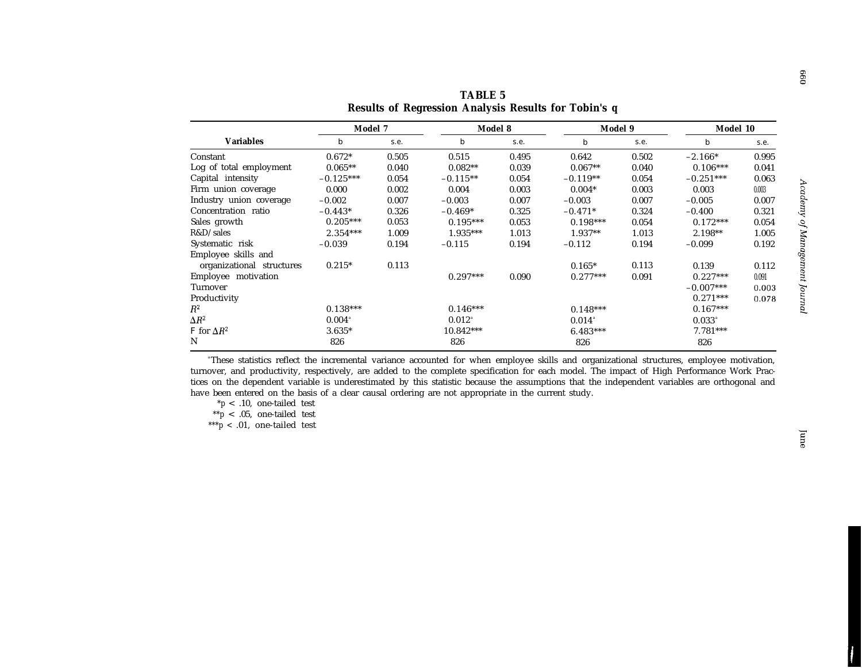|                           | Model 7              |       | Model 8     |       | Model 9              |       | Model 10    |       |
|---------------------------|----------------------|-------|-------------|-------|----------------------|-------|-------------|-------|
| <b>Variables</b>          | b                    | s.e.  | ь           | s.e.  | ь                    | s.e.  | ь           | s.e.  |
| Constant                  | $0.672*$             | 0.505 | 0.515       | 0.495 | 0.642                | 0.502 | $-2.166*$   | 0.995 |
| Log of total employment   | $0.065**$            | 0.040 | $0.082**$   | 0.039 | $0.067**$            | 0.040 | $0.106***$  | 0.041 |
| Capital intensity         | $-0.125***$          | 0.054 | $-0.115**$  | 0.054 | $-0.119**$           | 0.054 | $-0.251***$ | 0.063 |
| Firm union coverage       | 0.000                | 0.002 | 0.004       | 0.003 | $0.004*$             | 0.003 | 0.003       | 0.003 |
| Industry union coverage   | $-0.002$             | 0.007 | $-0.003$    | 0.007 | $-0.003$             | 0.007 | $-0.005$    | 0.007 |
| Concentration ratio       | $-0.443*$            | 0.326 | $-0.469*$   | 0.325 | $-0.471*$            | 0.324 | $-0.400$    | 0.321 |
| Sales growth              | $0.205***$           | 0.053 | $0.195***$  | 0.053 | $0.198***$           | 0.054 | $0.172***$  | 0.054 |
| R&D/sales                 | $2.354***$           | 1.009 | $1.935***$  | 1.013 | $1.937**$            | 1.013 | $2.198**$   | 1.005 |
| Systematic risk           | $-0.039$             | 0.194 | $-0.115$    | 0.194 | $-0.112$             | 0.194 | $-0.099$    | 0.192 |
| Employee skills and       |                      |       |             |       |                      |       |             |       |
| organizational structures | $0.215*$             | 0.113 |             |       | $0.165*$             | 0.113 | 0.139       | 0.112 |
| Employee motivation       |                      |       | $0.297***$  | 0.090 | $0.277***$           | 0.091 | $0.227***$  | 0.091 |
| Turnover                  |                      |       |             |       |                      |       | $-0.007***$ | 0.003 |
| Productivity              |                      |       |             |       |                      |       | $0.271***$  | 0.078 |
| $R^2$                     | $0.138***$           |       | $0.146***$  |       | $0.148***$           |       | $0.167***$  |       |
| $\Delta R^2$              | $0.004$ <sup>*</sup> |       | $0.012^{*}$ |       | $0.014$ <sup>*</sup> |       | $0.033^{*}$ |       |
| F for $\Delta R^2$        | $3.635*$             |       | 10.842***   |       | $6.483***$           |       | $7.781***$  |       |
| N                         | 826                  |       | 826         |       | 826                  |       | 826         |       |

**TABLE 5 Results of Regression Analysis Results for Tobin's** *q*

<sup>a</sup>These statistics reflect the incremental variance accounted for when employee skills and organizational structures, employee motivation, turnover, and productivity, respectively, are added to the complete specification for each model. The impact of High Performance Work Practices on the dependent variable is underestimated by this statistic because the assumptions that the independent variables are orthogonal and have been entered on the basis of a clear causal ordering are not appropriate in the current study.

*\*p* < .10, one-tailed test

*\*\*p* < .05, one-tailed test

*\*\*\*p <* .01, one-tailed test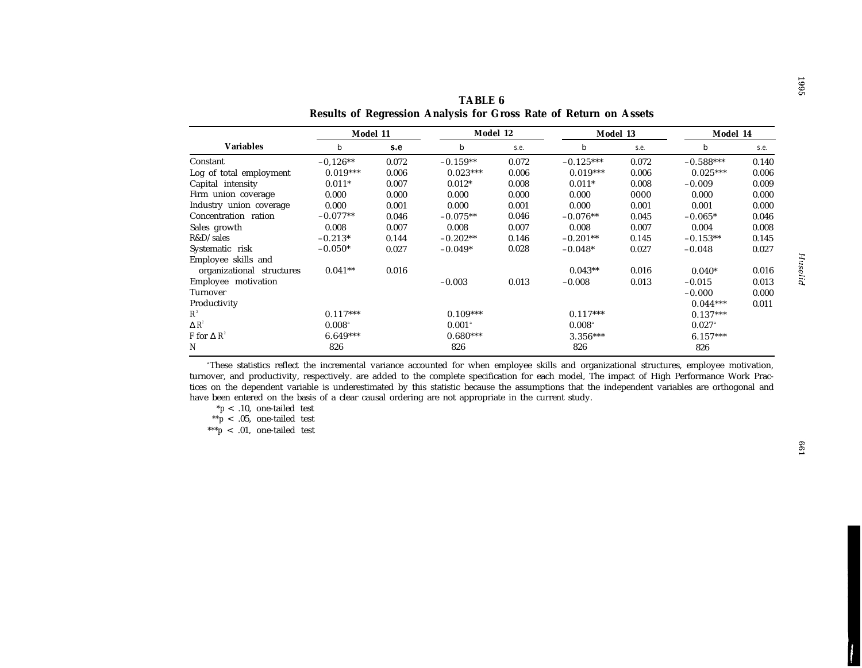**1995** 

|                           | Model 11           |       | Model 12   |       | Model 13           |       | Model 14             |       |
|---------------------------|--------------------|-------|------------|-------|--------------------|-------|----------------------|-------|
| <b>Variables</b>          | ь                  | s.e   | ь          | s.e.  | ь                  | s.e.  | ь                    | s.e.  |
| Constant                  | $-0.126**$         | 0.072 | $-0.159**$ | 0.072 | $-0.125***$        | 0.072 | $-0.588***$          | 0.140 |
| Log of total employment   | $0.019***$         | 0.006 | $0.023***$ | 0.006 | $0.019***$         | 0.006 | $0.025***$           | 0.006 |
| Capital intensity         | $0.011*$           | 0.007 | $0.012*$   | 0.008 | $0.011*$           | 0.008 | $-0.009$             | 0.009 |
| Firm union coverage       | 0.000              | 0.000 | 0.000      | 0.000 | 0.000              | 0000  | 0.000                | 0.000 |
| Industry union coverage   | 0.000              | 0.001 | 0.000      | 0.001 | 0.000              | 0.001 | 0.001                | 0.000 |
| Concentration ration      | $-0.077**$         | 0.046 | $-0.075**$ | 0.046 | $-0.076**$         | 0.045 | $-0.065*$            | 0.046 |
| Sales growth              | 0.008              | 0.007 | 0.008      | 0.007 | 0.008              | 0.007 | 0.004                | 0.008 |
| R&D/sales                 | $-0.213*$          | 0.144 | $-0.202**$ | 0.146 | $-0.201**$         | 0.145 | $-0.153**$           | 0.145 |
| Systematic risk           | $-0.050*$          | 0.027 | $-0.049*$  | 0.028 | $-0.048*$          | 0.027 | $-0.048$             | 0.027 |
| Employee skills and       |                    |       |            |       |                    |       |                      |       |
| organizational structures | $0.041**$          | 0.016 |            |       | $0.043**$          | 0.016 | $0.040*$             | 0.016 |
| Employee motivation       |                    |       | $-0.003$   | 0.013 | $-0.008$           | 0.013 | $-0.015$             | 0.013 |
| Turnover                  |                    |       |            |       |                    |       | $-0.000$             | 0.000 |
| Productivity              |                    |       |            |       |                    |       | $0.044***$           | 0.011 |
| $R^z$                     | $0.117***$         |       | $0.109***$ |       | $0.117***$         |       | $0.137***$           |       |
| $\Delta R^2$              | 0.008 <sup>°</sup> |       | $0.001^*$  |       | 0.008 <sup>°</sup> |       | $0.027$ <sup>*</sup> |       |
| F for $\Delta R^2$        | $6.649***$         |       | $0.680***$ |       | $3.356***$         |       | $6.157***$           |       |
| $\boldsymbol{N}$          | 826                |       | 826        |       | 826                |       | 826                  |       |

**TABLE 6 Results of Regression Analysis for Gross Rate of Return on Assets**

<sup>a</sup>These statistics reflect the incremental variance accounted for when employee skills and organizational structures, employee motivation, turnover, and productivity, respectively. are added to the complete specification for each model, The impact of High Performance Work Practices on the dependent variable is underestimated by this statistic because the assumptions that the independent variables are orthogonal and have been entered on the basis of a clear causal ordering are not appropriate in the current study.

*\*p* < .10, one-tailed test

*\*\*p* < .05, one-tailed test

*\*\*\*p* < .01, one-tailed test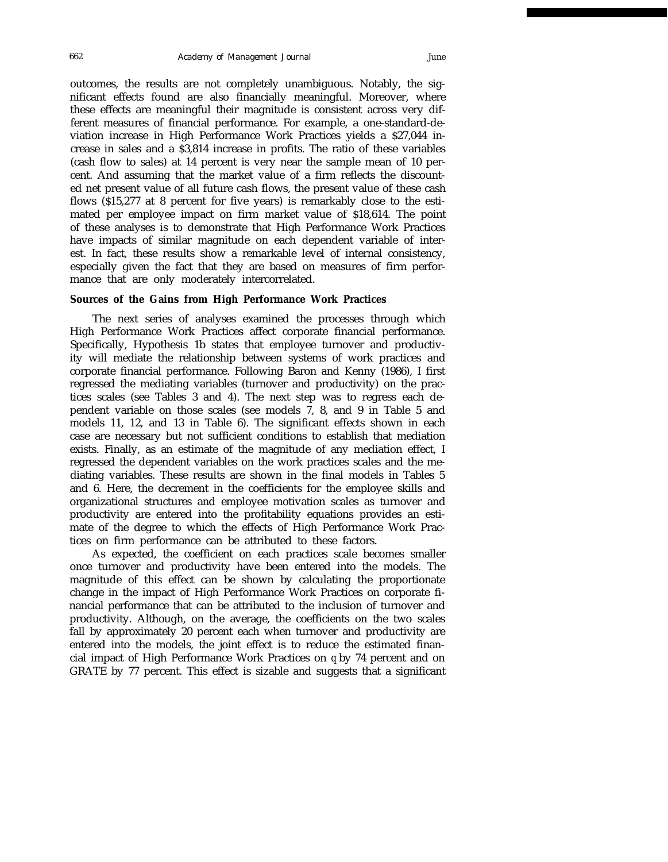outcomes, the results are not completely unambiguous. Notably, the significant effects found are also financially meaningful. Moreover, where these effects are meaningful their magnitude is consistent across very different measures of financial performance. For example, a one-standard-deviation increase in High Performance Work Practices yields a \$27,044 increase in sales and a \$3,814 increase in profits. The ratio of these variables (cash flow to sales) at 14 percent is very near the sample mean of 10 percent. And assuming that the market value of a firm reflects the discounted net present value of all future cash flows, the present value of these cash flows (\$15,277 at 8 percent for five years) is remarkably close to the estimated per employee impact on firm market value of \$18,614. The point of these analyses is to demonstrate that High Performance Work Practices have impacts of similar magnitude on each dependent variable of interest. In fact, these results show a remarkable level of internal consistency, especially given the fact that they are based on measures of firm performance that are only moderately intercorrelated.

#### **Sources of the Gains from High Performance Work Practices**

The next series of analyses examined the processes through which High Performance Work Practices affect corporate financial performance. Specifically, Hypothesis 1b states that employee turnover and productivity will mediate the relationship between systems of work practices and corporate financial performance. Following Baron and Kenny (1986), I first regressed the mediating variables (turnover and productivity) on the practices scales (see Tables 3 and 4). The next step was to regress each dependent variable on those scales (see models 7, 8, and 9 in Table 5 and models 11, 12, and 13 in Table 6). The significant effects shown in each case are necessary but not sufficient conditions to establish that mediation exists. Finally, as an estimate of the magnitude of any mediation effect, I regressed the dependent variables on the work practices scales and the mediating variables. These results are shown in the final models in Tables 5 and 6. Here, the decrement in the coefficients for the employee skills and organizational structures and employee motivation scales as turnover and productivity are entered into the profitability equations provides an estimate of the degree to which the effects of High Performance Work Practices on firm performance can be attributed to these factors.

As expected, the coefficient on each practices scale becomes smaller once turnover and productivity have been entered into the models. The magnitude of this effect can be shown by calculating the proportionate change in the impact of High Performance Work Practices on corporate financial performance that can be attributed to the inclusion of turnover and productivity. Although, on the average, the coefficients on the two scales fall by approximately 20 percent each when turnover and productivity are entered into the models, the joint effect is to reduce the estimated financial impact of High Performance Work Practices on *q* by 74 percent and on GRATE by 77 percent. This effect is sizable and suggests that a significant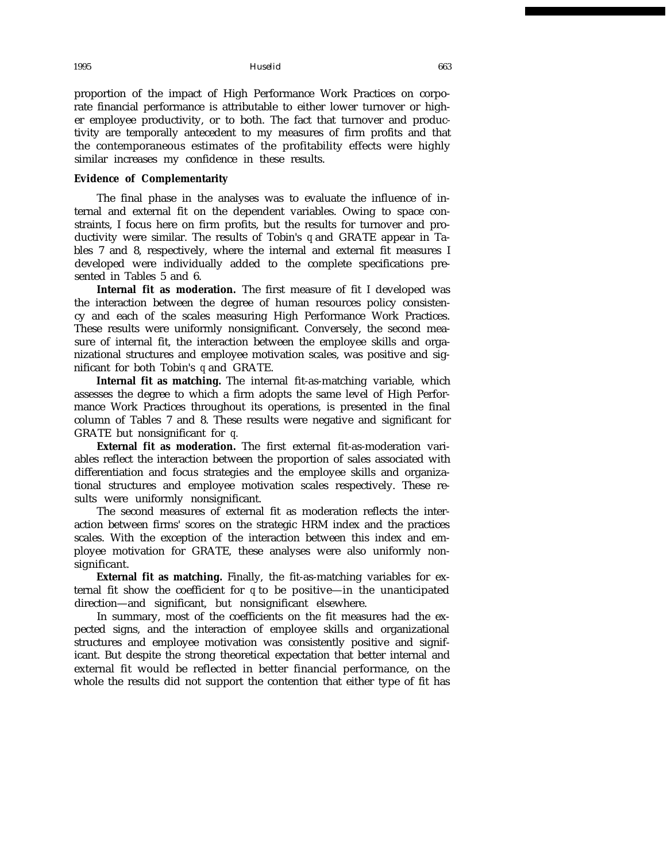proportion of the impact of High Performance Work Practices on corporate financial performance is attributable to either lower turnover or higher employee productivity, or to both. The fact that turnover and productivity are temporally antecedent to my measures of firm profits and that the contemporaneous estimates of the profitability effects were highly similar increases my confidence in these results.

#### **Evidence of Complementarity**

The final phase in the analyses was to evaluate the influence of internal and external fit on the dependent variables. Owing to space constraints, I focus here on firm profits, but the results for turnover and productivity were similar. The results of Tobin's *q* and GRATE appear in Tables 7 and 8, respectively, where the internal and external fit measures I developed were individually added to the complete specifications presented in Tables 5 and 6.

**Internal fit as moderation.** The first measure of fit I developed was the interaction between the degree of human resources policy consistency and each of the scales measuring High Performance Work Practices. These results were uniformly nonsignificant. Conversely, the second measure of internal fit, the interaction between the employee skills and organizational structures and employee motivation scales, was positive and significant for both Tobin's *q* and GRATE.

**Internal fit as matching.** The internal fit-as-matching variable, which assesses the degree to which a firm adopts the same level of High Performance Work Practices throughout its operations, is presented in the final column of Tables 7 and 8. These results were negative and significant for GRATE but nonsignificant for *q.*

**External fit as moderation.** The first external fit-as-moderation variables reflect the interaction between the proportion of sales associated with differentiation and focus strategies and the employee skills and organizational structures and employee motivation scales respectively. These results were uniformly nonsignificant.

The second measures of external fit as moderation reflects the interaction between firms' scores on the strategic HRM index and the practices scales. With the exception of the interaction between this index and employee motivation for GRATE, these analyses were also uniformly nonsignificant.

**External fit as matching.** Finally, the fit-as-matching variables for external fit show the coefficient for *q* to be positive—in the unanticipated direction—and significant, but nonsignificant elsewhere.

In summary, most of the coefficients on the fit measures had the expected signs, and the interaction of employee skills and organizational structures and employee motivation was consistently positive and significant. But despite the strong theoretical expectation that better internal and external fit would be reflected in better financial performance, on the whole the results did not support the contention that either type of fit has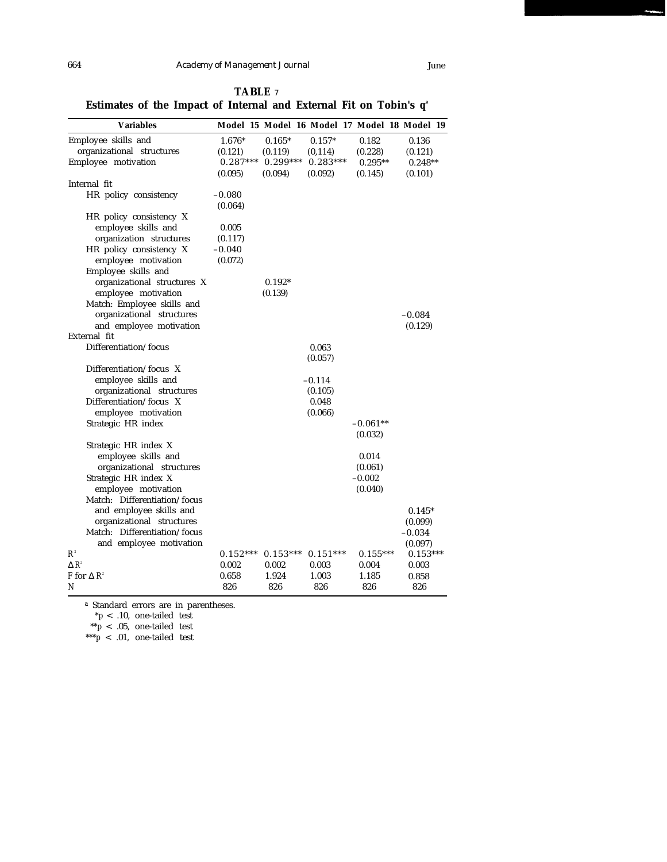| <b>Variables</b>                                          |                     |                     | Model 15 Model 16 Model 17 Model 18 Model 19 |                     |                       |  |
|-----------------------------------------------------------|---------------------|---------------------|----------------------------------------------|---------------------|-----------------------|--|
| Employee skills and                                       | $1.676*$            | $0.165*$            | $0.157*$                                     | 0.182               | 0.136                 |  |
| organizational structures                                 | (0.121)             | (0.119)             | (0, 114)                                     | (0.228)             | (0.121)               |  |
| Employee motivation                                       | $0.287***$          | $0.299***$          | $0.283***$                                   | $0.295**$           | $0.248**$             |  |
|                                                           | (0.095)             | (0.094)             | (0.092)                                      | (0.145)             | (0.101)               |  |
| Internal fit                                              |                     |                     |                                              |                     |                       |  |
| HR policy consistency                                     | $-0.080$            |                     |                                              |                     |                       |  |
|                                                           | (0.064)             |                     |                                              |                     |                       |  |
| HR policy consistency X                                   |                     |                     |                                              |                     |                       |  |
| employee skills and                                       | 0.005               |                     |                                              |                     |                       |  |
| organization structures                                   | (0.117)             |                     |                                              |                     |                       |  |
| HR policy consistency X                                   | $-0.040$            |                     |                                              |                     |                       |  |
| employee motivation                                       | (0.072)             |                     |                                              |                     |                       |  |
| Employee skills and                                       |                     |                     |                                              |                     |                       |  |
| organizational structures X                               |                     | $0.192*$            |                                              |                     |                       |  |
| employee motivation                                       |                     | (0.139)             |                                              |                     |                       |  |
| Match: Employee skills and                                |                     |                     |                                              |                     |                       |  |
| organizational structures                                 |                     |                     |                                              |                     | $-0.084$              |  |
| and employee motivation                                   |                     |                     |                                              |                     | (0.129)               |  |
| External fit                                              |                     |                     |                                              |                     |                       |  |
| Differentiation/focus                                     |                     |                     | 0.063                                        |                     |                       |  |
|                                                           |                     |                     | (0.057)                                      |                     |                       |  |
| Differentiation/focus X                                   |                     |                     |                                              |                     |                       |  |
| employee skills and                                       |                     |                     | $-0.114$                                     |                     |                       |  |
| organizational structures                                 |                     |                     | (0.105)                                      |                     |                       |  |
| Differentiation/focus X                                   |                     |                     | 0.048                                        |                     |                       |  |
| employee motivation                                       |                     |                     | (0.066)                                      |                     |                       |  |
| Strategic HR index                                        |                     |                     |                                              | $-0.061**$          |                       |  |
|                                                           |                     |                     |                                              | (0.032)             |                       |  |
| Strategic HR index X                                      |                     |                     |                                              |                     |                       |  |
| employee skills and                                       |                     |                     |                                              | 0.014               |                       |  |
| organizational structures                                 |                     |                     |                                              | (0.061)             |                       |  |
| Strategic HR index X                                      |                     |                     |                                              | $-0.002$            |                       |  |
| employee motivation                                       |                     |                     |                                              | (0.040)             |                       |  |
| Match: Differentiation/focus                              |                     |                     |                                              |                     |                       |  |
| and employee skills and                                   |                     |                     |                                              |                     | $0.145*$              |  |
| organizational structures<br>Match: Differentiation/focus |                     |                     |                                              |                     | (0.099)               |  |
|                                                           |                     |                     |                                              |                     | $-0.034$              |  |
| and employee motivation<br>$R^2$                          |                     |                     |                                              |                     | (0.097)<br>$0.153***$ |  |
| $\Delta$ $R^{\scriptscriptstyle\sharp}$                   | $0.152***$<br>0.002 | $0.153***$<br>0.002 | $0.151***$<br>0.003                          | $0.155***$<br>0.004 |                       |  |
| F for $\triangle R^2$                                     | 0.658               | 1.924               | 1.003                                        | 1.185               | 0.003<br>0.858        |  |
| $\boldsymbol{N}$                                          | 826                 | 826                 | 826                                          | 826                 | 826                   |  |

**TABLE** *7* Estimates of the Impact of Internal and External Fit on Tobin's  $q^a$ 

a Standard errors are in parentheses.

*\*p* < .10, one-tailed test

 $*^{*}p < .05$ , one-tailed test

 $***\stackrel{\text{1}}{p}$  < .01, one-tailed test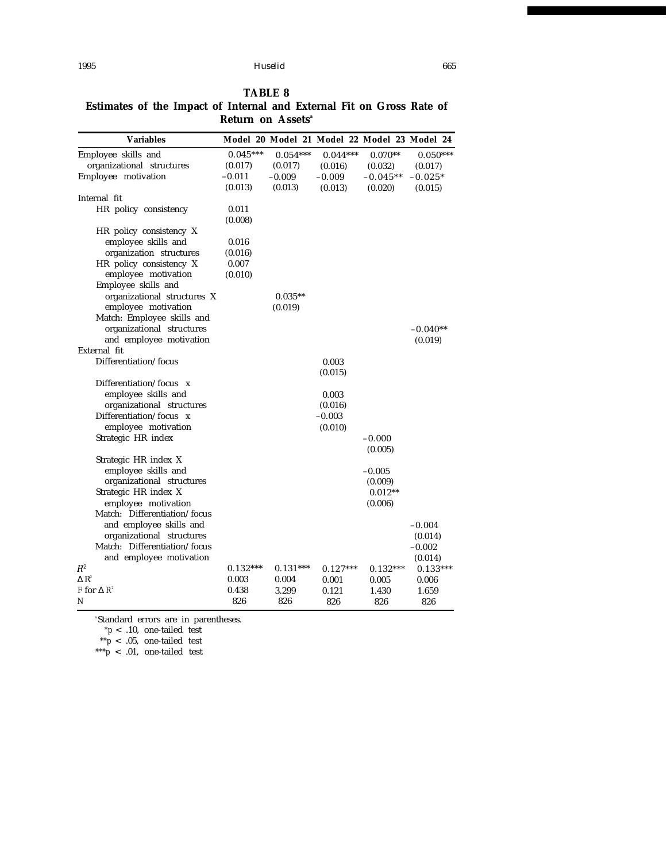|                                             | Return on Assets <sup>a</sup> |            |                                              |                      |            |  |  |  |  |  |  |
|---------------------------------------------|-------------------------------|------------|----------------------------------------------|----------------------|------------|--|--|--|--|--|--|
| <b>Variables</b>                            |                               |            | Model 20 Model 21 Model 22 Model 23 Model 24 |                      |            |  |  |  |  |  |  |
| Employee skills and                         | $0.045***$                    | $0.054***$ | $0.044***$                                   | $0.070**$            | $0.050***$ |  |  |  |  |  |  |
| organizational structures                   | (0.017)                       | (0.017)    | (0.016)                                      | (0.032)              | (0.017)    |  |  |  |  |  |  |
| Employee motivation                         | $-0.011$                      | $-0.009$   | $-0.009$                                     | $-0.045**$           | $-0.025*$  |  |  |  |  |  |  |
|                                             | (0.013)                       | (0.013)    | (0.013)                                      | (0.020)              | (0.015)    |  |  |  |  |  |  |
| Internal fit                                |                               |            |                                              |                      |            |  |  |  |  |  |  |
| HR policy consistency                       | 0.011<br>(0.008)              |            |                                              |                      |            |  |  |  |  |  |  |
| HR policy consistency X                     |                               |            |                                              |                      |            |  |  |  |  |  |  |
| employee skills and                         | 0.016                         |            |                                              |                      |            |  |  |  |  |  |  |
| organization structures                     | (0.016)                       |            |                                              |                      |            |  |  |  |  |  |  |
| HR policy consistency X                     | 0.007                         |            |                                              |                      |            |  |  |  |  |  |  |
| employee motivation                         | (0.010)                       |            |                                              |                      |            |  |  |  |  |  |  |
| Employee skills and                         |                               |            |                                              |                      |            |  |  |  |  |  |  |
| organizational structures X                 |                               | $0.035**$  |                                              |                      |            |  |  |  |  |  |  |
| employee motivation                         |                               | (0.019)    |                                              |                      |            |  |  |  |  |  |  |
| Match: Employee skills and                  |                               |            |                                              |                      |            |  |  |  |  |  |  |
| organizational structures                   |                               |            |                                              |                      | $-0.040**$ |  |  |  |  |  |  |
| and employee motivation                     |                               |            |                                              |                      | (0.019)    |  |  |  |  |  |  |
| External fit                                |                               |            |                                              |                      |            |  |  |  |  |  |  |
| Differentiation/focus                       |                               |            | 0.003                                        |                      |            |  |  |  |  |  |  |
|                                             |                               |            | (0.015)                                      |                      |            |  |  |  |  |  |  |
| Differentiation/focus x                     |                               |            |                                              |                      |            |  |  |  |  |  |  |
| employee skills and                         |                               |            | 0.003                                        |                      |            |  |  |  |  |  |  |
| organizational structures                   |                               |            | (0.016)                                      |                      |            |  |  |  |  |  |  |
| Differentiation/focus x                     |                               |            | $-0.003$                                     |                      |            |  |  |  |  |  |  |
| employee motivation                         |                               |            | (0.010)                                      |                      |            |  |  |  |  |  |  |
| Strategic HR index                          |                               |            |                                              | $-0.000$             |            |  |  |  |  |  |  |
|                                             |                               |            |                                              | (0.005)              |            |  |  |  |  |  |  |
| Strategic HR index X<br>employee skills and |                               |            |                                              |                      |            |  |  |  |  |  |  |
| organizational structures                   |                               |            |                                              | $-0.005$             |            |  |  |  |  |  |  |
| Strategic HR index X                        |                               |            |                                              | (0.009)<br>$0.012**$ |            |  |  |  |  |  |  |
| employee motivation                         |                               |            |                                              | (0.006)              |            |  |  |  |  |  |  |
| Match: Differentiation/focus                |                               |            |                                              |                      |            |  |  |  |  |  |  |
| and employee skills and                     |                               |            |                                              |                      | $-0.004$   |  |  |  |  |  |  |
| organizational structures                   |                               |            |                                              |                      | (0.014)    |  |  |  |  |  |  |
| Match: Differentiation/focus                |                               |            |                                              |                      | $-0.002$   |  |  |  |  |  |  |
| and employee motivation                     |                               |            |                                              |                      | (0.014)    |  |  |  |  |  |  |
| $\mathbb{R}^2$                              | $0.132***$                    | $0.131***$ | $0.127***$                                   | $0.132***$           | $0.133***$ |  |  |  |  |  |  |
| $\Delta$ R <sup>2</sup>                     | 0.003                         | 0.004      | 0.001                                        | 0.005                | 0.006      |  |  |  |  |  |  |
| F for $\triangle R^2$                       | 0.438                         | 3.299      | 0.121                                        | 1.430                | 1.659      |  |  |  |  |  |  |
| N                                           | 826                           | 826        | 826                                          | 826                  | 826        |  |  |  |  |  |  |

# **TABLE 8 Estimates of the Impact of Internal and External Fit on Gross Rate of**

<sup>\*</sup>Standard errors are in parentheses.

*\*p* < .10, one-tailed test

*\*\*p* < .05, one-tailed test

*\*\*\*p* < .01, one-tailed test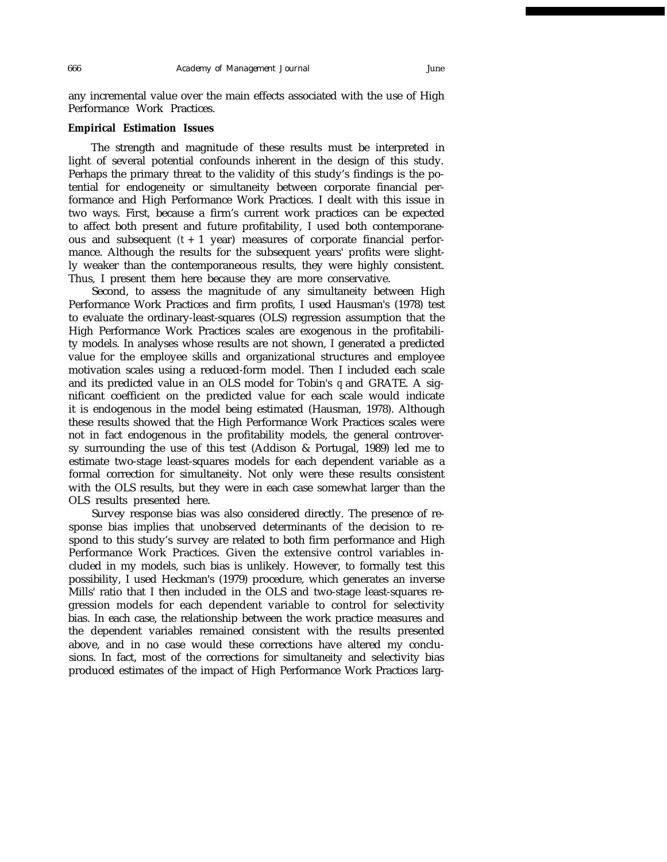any incremental value over the main effects associated with the use of High Performance Work Practices.

#### **Empirical Estimation Issues**

The strength and magnitude of these results must be interpreted in light of several potential confounds inherent in the design of this study. Perhaps the primary threat to the validity of this study's findings is the potential for endogeneity or simultaneity between corporate financial performance and High Performance Work Practices. I dealt with this issue in two ways. First, because a firm's current work practices can be expected to affect both present and future profitability, I used both contemporaneous and subsequent  $(t + 1$  year) measures of corporate financial performance. Although the results for the subsequent years' profits were slightly weaker than the contemporaneous results, they were highly consistent. Thus, I present them here because they are more conservative.

Second, to assess the magnitude of any simultaneity between High Performance Work Practices and firm profits, I used Hausman's (1978) test to evaluate the ordinary-least-squares (OLS) regression assumption that the High Performance Work Practices scales are exogenous in the profitability models. In analyses whose results are not shown, I generated a predicted value for the employee skills and organizational structures and employee motivation scales using a reduced-form model. Then I included each scale and its predicted value in an OLS model for Tobin's *q* and GRATE. A significant coefficient on the predicted value for each scale would indicate it is endogenous in the model being estimated (Hausman, 1978). Although these results showed that the High Performance Work Practices scales were not in fact endogenous in the profitability models, the general controversy surrounding the use of this test (Addison & Portugal, 1989) led me to estimate two-stage least-squares models for each dependent variable as a formal correction for simultaneity. Not only were these results consistent with the OLS results, but they were in each case somewhat larger than the OLS results presented here.

Survey response bias was also considered directly. The presence of response bias implies that unobserved determinants of the decision to respond to this study's survey are related to both firm performance and High Performance Work Practices. Given the extensive control variables included in my models, such bias is unlikely. However, to formally test this possibility, I used Heckman's (1979) procedure, which generates an inverse Mills' ratio that I then included in the OLS and two-stage least-squares regression models for each dependent variable to control for selectivity bias. In each case, the relationship between the work practice measures and the dependent variables remained consistent with the results presented above, and in no case would these corrections have altered my conclusions. In fact, most of the corrections for simultaneity and selectivity bias produced estimates of the impact of High Performance Work Practices larg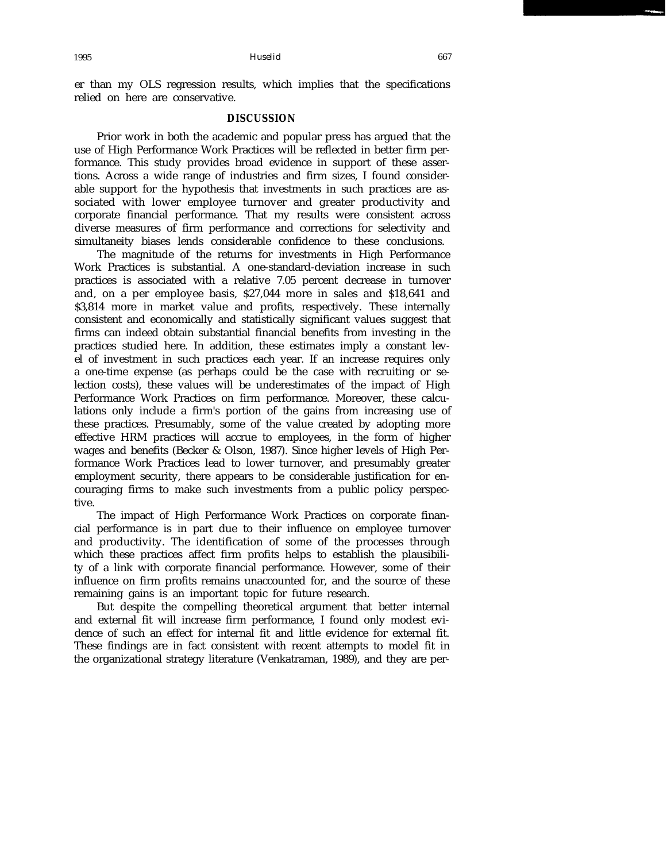er than my OLS regression results, which implies that the specifications relied on here are conservative.

# **DISCUSSION**

Prior work in both the academic and popular press has argued that the use of High Performance Work Practices will be reflected in better firm performance. This study provides broad evidence in support of these assertions. Across a wide range of industries and firm sizes, I found considerable support for the hypothesis that investments in such practices are associated with lower employee turnover and greater productivity and corporate financial performance. That my results were consistent across diverse measures of firm performance and corrections for selectivity and simultaneity biases lends considerable confidence to these conclusions.

The magnitude of the returns for investments in High Performance Work Practices is substantial. A one-standard-deviation increase in such practices is associated with a relative 7.05 percent decrease in turnover and, on a per employee basis, \$27,044 more in sales and \$18,641 and \$3,814 more in market value and profits, respectively. These internally consistent and economically and statistically significant values suggest that firms can indeed obtain substantial financial benefits from investing in the practices studied here. In addition, these estimates imply a constant level of investment in such practices each year. If an increase requires only a one-time expense (as perhaps could be the case with recruiting or selection costs), these values will be underestimates of the impact of High Performance Work Practices on firm performance. Moreover, these calculations only include a firm's portion of the gains from increasing use of these practices. Presumably, some of the value created by adopting more effective HRM practices will accrue to employees, in the form of higher wages and benefits (Becker & Olson, 1987). Since higher levels of High Performance Work Practices lead to lower turnover, and presumably greater employment security, there appears to be considerable justification for encouraging firms to make such investments from a public policy perspective.

The impact of High Performance Work Practices on corporate financial performance is in part due to their influence on employee turnover and productivity. The identification of some of the processes through which these practices affect firm profits helps to establish the plausibility of a link with corporate financial performance. However, some of their influence on firm profits remains unaccounted for, and the source of these remaining gains is an important topic for future research.

But despite the compelling theoretical argument that better internal and external fit will increase firm performance, I found only modest evidence of such an effect for internal fit and little evidence for external fit. These findings are in fact consistent with recent attempts to model fit in the organizational strategy literature (Venkatraman, 1989), and they are per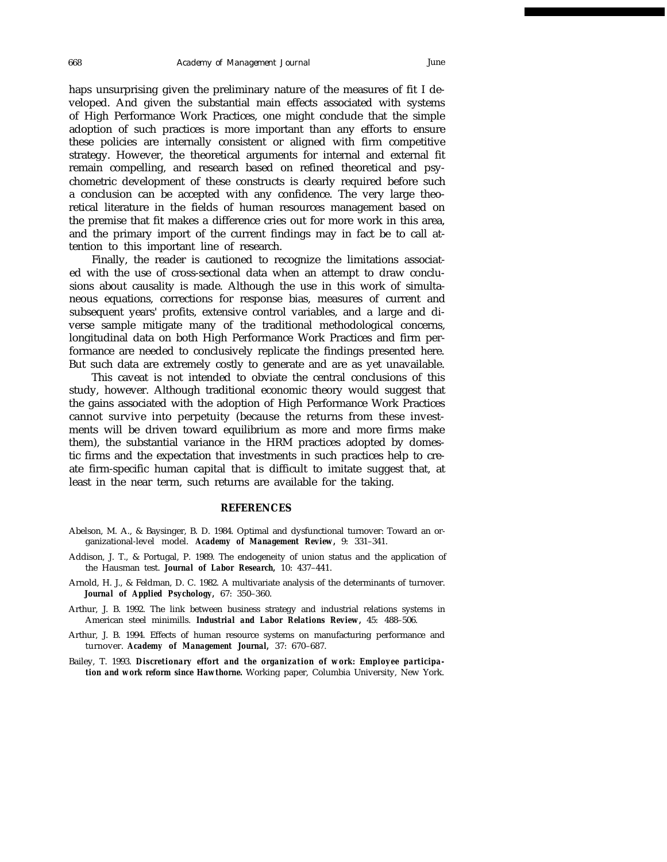haps unsurprising given the preliminary nature of the measures of fit I developed. And given the substantial main effects associated with systems of High Performance Work Practices, one might conclude that the simple adoption of such practices is more important than any efforts to ensure these policies are internally consistent or aligned with firm competitive strategy. However, the theoretical arguments for internal and external fit remain compelling, and research based on refined theoretical and psychometric development of these constructs is clearly required before such a conclusion can be accepted with any confidence. The very large theoretical literature in the fields of human resources management based on the premise that fit makes a difference cries out for more work in this area, and the primary import of the current findings may in fact be to call attention to this important line of research.

Finally, the reader is cautioned to recognize the limitations associated with the use of cross-sectional data when an attempt to draw conclusions about causality is made. Although the use in this work of simultaneous equations, corrections for response bias, measures of current and subsequent years' profits, extensive control variables, and a large and diverse sample mitigate many of the traditional methodological concerns, longitudinal data on both High Performance Work Practices and firm performance are needed to conclusively replicate the findings presented here. But such data are extremely costly to generate and are as yet unavailable.

This caveat is not intended to obviate the central conclusions of this study, however. Although traditional economic theory would suggest that the gains associated with the adoption of High Performance Work Practices cannot survive into perpetuity (because the returns from these investments will be driven toward equilibrium as more and more firms make them), the substantial variance in the HRM practices adopted by domestic firms and the expectation that investments in such practices help to create firm-specific human capital that is difficult to imitate suggest that, at least in the near term, such returns are available for the taking.

#### **REFERENCES**

- Abelson, M. A., & Baysinger, B. D. 1984. Optimal and dysfunctional turnover: Toward an organizational-level model. *Academy of Management Review,* 9: 331–341.
- Addison, J. T., & Portugal, P. 1989. The endogeneity of union status and the application of the Hausman test. *Journal of Labor Research,* 10: 437–441.
- Arnold, H. J., & Feldman, D. C. 1982. A multivariate analysis of the determinants of turnover. *Journal of Applied Psychology,* 67: 350–360.
- Arthur, J. B. 1992. The link between business strategy and industrial relations systems in American steel minimills. *Industrial and Labor Relations Review,* 45: 488–506.
- Arthur, J. B. 1994. Effects of human resource systems on manufacturing performance and turnover. *Academy of Management Journal,* 37: 670–687.
- Bailey, T. 1993. *Discretionary effort and the organization of work: Employee participation and work reform since Hawthorne.* Working paper, Columbia University, New York.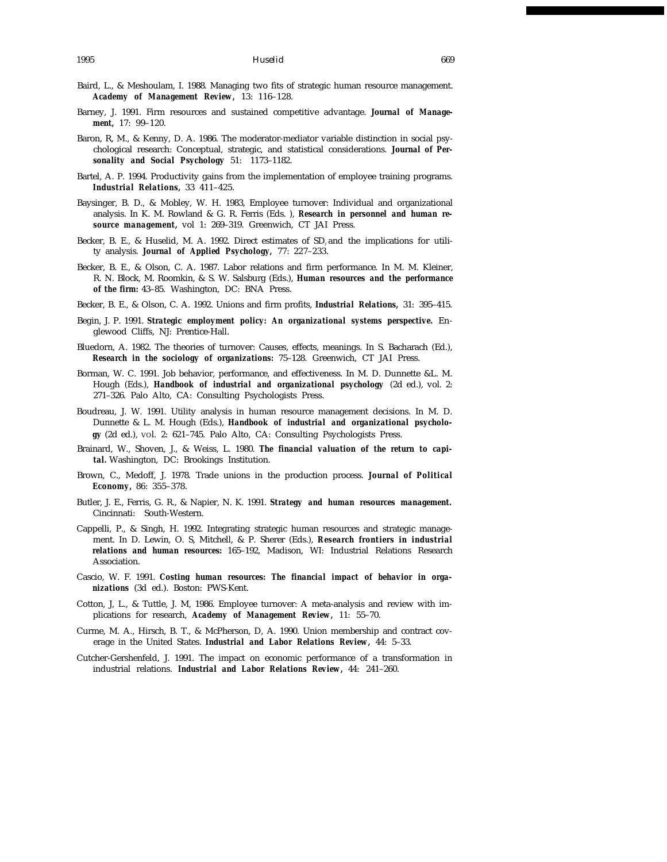- Baird, L., & Meshoulam, I. 1988. Managing two fits of strategic human resource management. *Academy of Management Review,* 13: 116–128.
- Barney, J. 1991. Firm resources and sustained competitive advantage. *Journal of Management,* 17: 99–120.
- Baron, R, M., & Kenny, D. A. 1986. The moderator-mediator variable distinction in social psychological research: Conceptual, strategic, and statistical considerations. *Journal of Personality and Social Psychology* 51: 1173–1182.
- Bartel, A. P. 1994. Productivity gains from the implementation of employee training programs. *Industrial Relations,* 33 411–425.
- Baysinger, B. D., & Mobley, W. H. 1983, Employee turnover: Individual and organizational analysis. In K. M. Rowland & G. R. Ferris (Eds. ), *Research in personnel and human resource management,* vol 1: 269–319. Greenwich, CT JAI Press.
- Becker, B. E., & Huselid, M. A. 1992. Direct estimates of SD and the implications for utility analysis. *Journal of Applied Psychology,* 77: 227–233.
- Becker, B. E., & Olson, C. A. 1987. Labor relations and firm performance. In M. M. Kleiner, R. N. Block, M. Roomkin, & S. W. Salsburg (Eds.), *Human resources and the performance of the firm:* 43–85. Washington, DC: BNA Press.
- Becker, B. E., & Olson, C. A. 1992. Unions and firm profits, *Industrial Relations,* 31: 395–415.
- Begin, J. P. 1991. *Strategic employment policy: An organizational systems perspective.* Englewood Cliffs, NJ: Prentice-Hall.
- Bluedorn, A. 1982. The theories of turnover: Causes, effects, meanings. In S. Bacharach (Ed.), *Research in the sociology of organizations:* 75–128. Greenwich, CT JAI Press.
- Borman, W. C. 1991. Job behavior, performance, and effectiveness. In M. D. Dunnette &L. M. Hough (Eds.), *Handbook of industrial and organizational psychology* (2d ed.), vol. 2: 271–326. Palo Alto, CA: Consulting Psychologists Press.
- Boudreau, J. W. 1991. Utility analysis in human resource management decisions. In M. D. Dunnette & L. M. Hough (Eds.), *Handbook of industrial and organizational psychology* (2d ed.), VOl. 2: 621–745. Palo Alto, CA: Consulting Psychologists Press.
- Brainard, W., Shoven, J., & Weiss, L. 1980. *The financial valuation of the return to capital.* Washington, DC: Brookings Institution.
- Brown, C., Medoff, J. 1978. Trade unions in the production process. *Journal of Political Economy,* 86: 355–378.
- Butler, J. E., Ferris, G. R., & Napier, N. K. 1991. *Strategy and human resources management.* Cincinnati: South-Western.
- Cappelli, P., & Singh, H. 1992. Integrating strategic human resources and strategic management. In D. Lewin, O. S, Mitchell, & P. Sherer (Eds.), *Research frontiers in industrial relations and human resources:* 165–192, Madison, WI: Industrial Relations Research Association.
- Cascio, W. F. 1991. *Costing human resources: The financial impact of behavior in organizations* (3d ed.). Boston: PWS-Kent.
- Cotton, J, L., & Tuttle, J. M, 1986. Employee turnover: A meta-analysis and review with implications for research, *Academy of Management Review,* 11: 55–70.
- Curme, M. A., Hirsch, B. T., & McPherson, D, A. 1990. Union membership and contract coverage in the United States. *Industrial and Labor Relations Review,* 44: 5–33.
- Cutcher-Gershenfeld, J. 1991. The impact on economic performance of a transformation in industrial relations. *Industrial and Labor Relations Review,* 44: 241–260.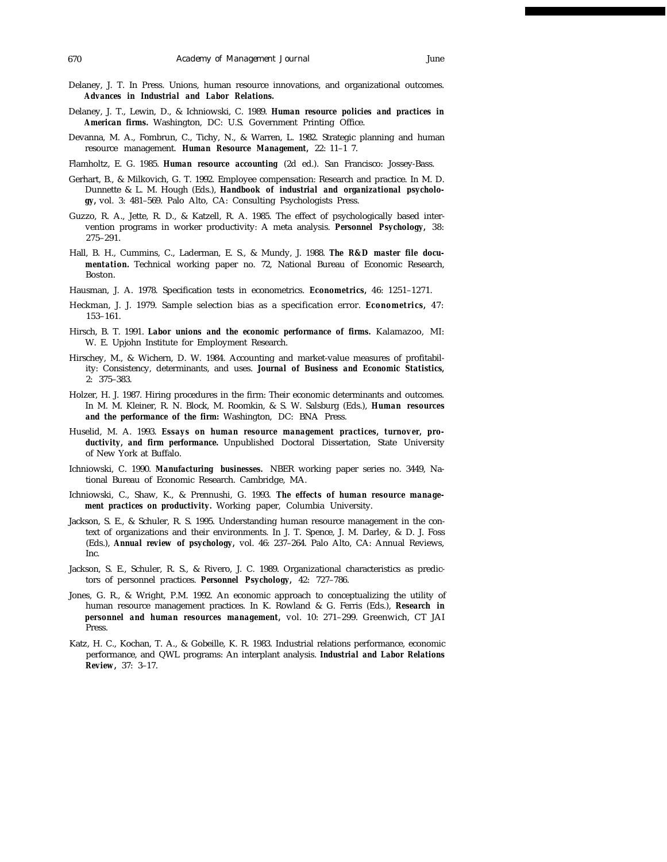- Delaney, J. T. In Press. Unions, human resource innovations, and organizational outcomes. *Advances in Industrial and Labor Relations.*
- Delaney, J. T., Lewin, D., & Ichniowski, C. 1989. *Human resource policies and practices in American firms.* Washington, DC: U.S. Government Printing Office.
- Devanna, M. A., Fombrun, C., Tichy, N., & Warren, L. 1982. Strategic planning and human resource management. *Human Resource Management,* 22: 11–1 7.
- Flamholtz, E. G. 1985. *Human resource accounting* (2d ed.). San Francisco: Jossey-Bass.
- Gerhart, B., & Milkovich, G. T. 1992. Employee compensation: Research and practice. In M. D. Dunnette & L. M. Hough (Eds.), *Handbook of industrial and organizational psychology,* vol. 3: 481–569. Palo Alto, CA: Consulting Psychologists Press.
- Guzzo, R. A., Jette, R. D., & Katzell, R. A. 1985. The effect of psychologically based intervention programs in worker productivity: A meta analysis. *Personnel Psychology,* 38: 275–291.
- Hall, B. H., Cummins, C., Laderman, E. S., & Mundy, J. 1988. *The R&D master file documentation.* Technical working paper no. 72, National Bureau of Economic Research, Boston.
- Hausman, J. A. 1978. Specification tests in econometrics. *Econometrics,* 46: 1251–1271.
- Heckman, J. J. 1979. Sample selection bias as a specification error. *Econometrics,* 47: 153–161.
- Hirsch, B. T. 1991. *Labor unions and the economic performance of firms.* Kalamazoo, MI: W. E. Upjohn Institute for Employment Research.
- Hirschey, M., & Wichern, D. W. 1984. Accounting and market-value measures of profitability: Consistency, determinants, and uses. *Journal of Business and Economic Statistics,* 2: 375–383.
- Holzer, H. J. 1987. Hiring procedures in the firm: Their economic determinants and outcomes. In M. M. Kleiner, R. N. Block, M. Roomkin, & S. W. Salsburg (Eds.), *Human resources and the performance of the firm:* Washington, DC: BNA Press.
- Huselid, M. A. 1993. *Essays on human resource management practices, turnover, productivity, and firm performance.* Unpublished Doctoral Dissertation, State University of New York at Buffalo.
- Ichniowski, C. 1990. *Manufacturing businesses.* NBER working paper series no. 3449, National Bureau of Economic Research. Cambridge, MA.
- Ichniowski, C., Shaw, K., & Prennushi, G. 1993. *The effects of human resource management practices on productivity.* Working paper, Columbia University.
- Jackson, S. E., & Schuler, R. S. 1995. Understanding human resource management in the context of organizations and their environments. In J. T. Spence, J. M. Darley, & D. J. Foss (Eds.), *Annual review of psychology,* vol. 46: 237–264. Palo Alto, CA: Annual Reviews, Inc.
- Jackson, S. E., Schuler, R. S., & Rivero, J. C. 1989. Organizational characteristics as predictors of personnel practices. *Personnel Psychology,* 42: 727–786.
- Jones, G. R., & Wright, P.M. 1992. An economic approach to conceptualizing the utility of human resource management practices. In K. Rowland & G. Ferris (Eds.), *Research in personnel and human resources management,* vol. 10: 271–299. Greenwich, CT JAI Press.
- Katz, H. C., Kochan, T. A., & Gobeille, K. R. 1983. Industrial relations performance, economic performance, and QWL programs: An interplant analysis. *Industrial and Labor Relations Review,* 37: 3–17.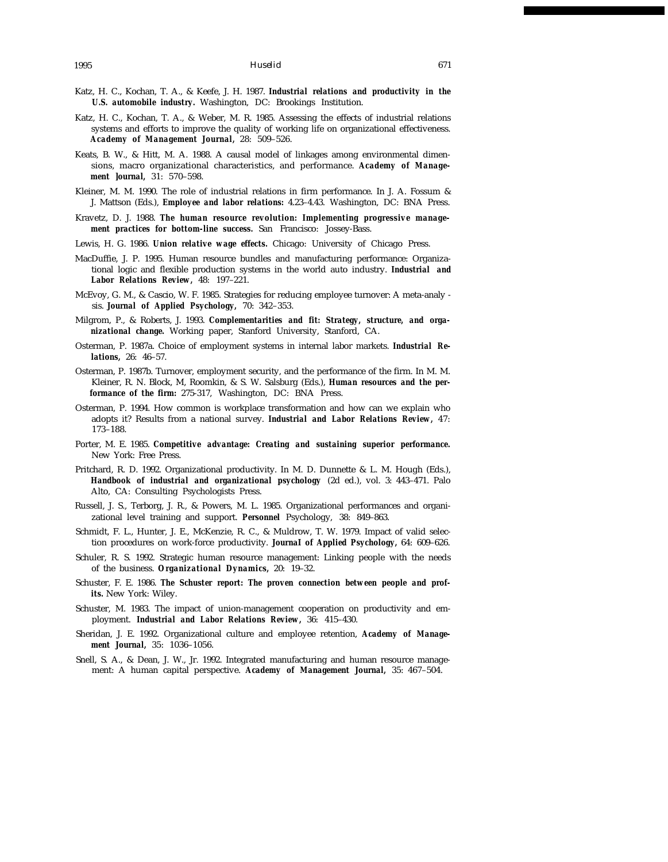- Katz, H. C., Kochan, T. A., & Keefe, J. H. 1987. *Industrial relations and productivity in the U.S. automobile industry.* Washington, DC: Brookings Institution.
- Katz, H. C., Kochan, T. A., & Weber, M. R. 1985. Assessing the effects of industrial relations systems and efforts to improve the quality of working life on organizational effectiveness. *Academy of Management Journal,* 28: 509–526.
- Keats, B. W., & Hitt, M. A. 1988. A causal model of linkages among environmental dimensions, macro organizational characteristics, and performance. *Academy of Management ]ournal,* 31: 570–598.
- Kleiner, M. M. 1990. The role of industrial relations in firm performance. In J. A. Fossum & J. Mattson (Eds.), *Employee and labor relations:* 4.23–4.43. Washington, DC: BNA Press.
- Kravetz, D. J. 1988. *The human resource revolution: Implementing progressive management practices for bottom-line success.* San Francisco: Jossey-Bass.
- Lewis, H. G. 1986. *Union relative wage effects.* Chicago: University of Chicago Press.
- MacDuffie, J. P. 1995. Human resource bundles and manufacturing performance: Organizational logic and flexible production systems in the world auto industry. *Industrial and Labor Relations Review,* 48: 197–221.
- McEvoy, G. M., & Cascio, W. F. 1985. Strategies for reducing employee turnover: A meta-analy sis. *Journal of Applied Psychology,* 70: 342–353.
- Milgrom, P., & Roberts, J. 1993. *Complementarities and fit: Strategy, structure, and organizational change.* Working paper, Stanford University, Stanford, CA.
- Osterman, P. 1987a. Choice of employment systems in internal labor markets. *Industrial Relations,* 26: 46–57.
- Osterman, P. 1987b. Turnover, employment security, and the performance of the firm. In M. M. Kleiner, R. N. Block, M, Roomkin, & S. W. Salsburg (Eds.), *Human resources and the performance of the firm:* 275-317, Washington, DC: BNA Press.
- Osterman, P. 1994. How common is workplace transformation and how can we explain who adopts it? Results from a national survey. *Industrial and Labor Relations Review,* 47: 173–188.
- Porter, M. E. 1985. *Competitive advantage: Creating and sustaining superior performance.* New York: Free Press.
- Pritchard, R. D. 1992. Organizational productivity. In M. D. Dunnette & L. M. Hough (Eds.), *Handbook of industrial and organizational psychology* (2d ed.), vol. 3: 443–471. Palo Alto, CA: Consulting Psychologists Press.
- Russell, J. S., Terborg, J. R., & Powers, M. L. 1985. Organizational performances and organizational level training and support. *Personnel* Psychology, 38: 849–863.
- Schmidt, F. L., Hunter, J. E., McKenzie, R. C., & Muldrow, T. W. 1979. Impact of valid selection procedures on work-force productivity. *JournaI of Applied Psychology,* 64: 609–626.
- Schuler, R. S. 1992. Strategic human resource management: Linking people with the needs of the business. *Organizational Dynamics,* 20: 19–32.
- Schuster, F. E. 1986. *The Schuster report: The proven connection between people and profits.* New York: Wiley.
- Schuster, M. 1983. The impact of union-management cooperation on productivity and employment. *Industrial and Labor Relations Review,* 36: 415–430.
- Sheridan, J. E. 1992. Organizational culture and employee retention, *Academy of Management Journal,* 35: 1036–1056.
- Snell, S. A., & Dean, J. W., Jr. 1992. Integrated manufacturing and human resource management: A human capital perspective. *Academy of Management Journal,* 35: 467–504.